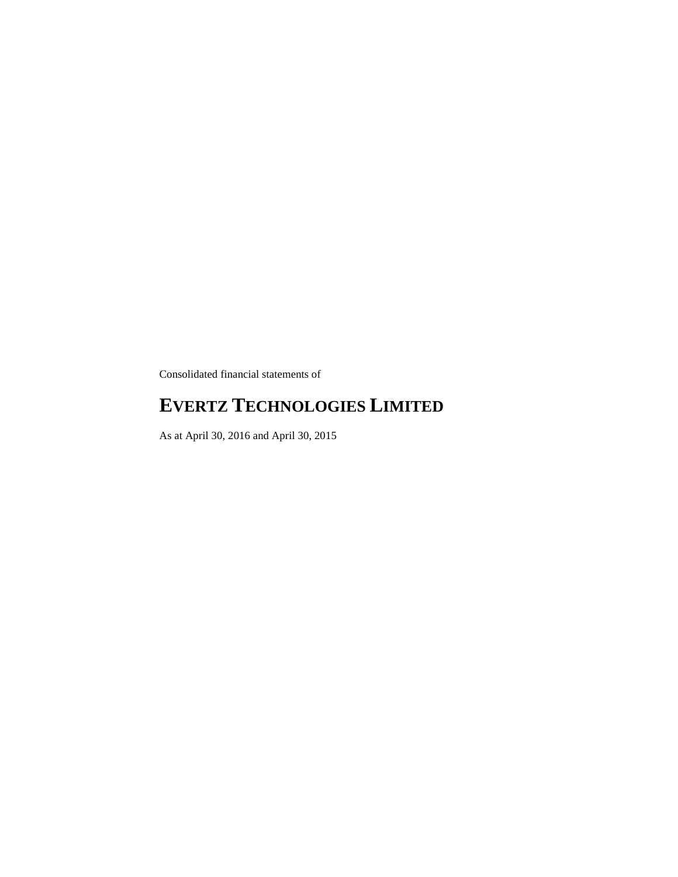Consolidated financial statements of

# **EVERTZ TECHNOLOGIES LIMITED**

As at April 30, 2016 and April 30, 2015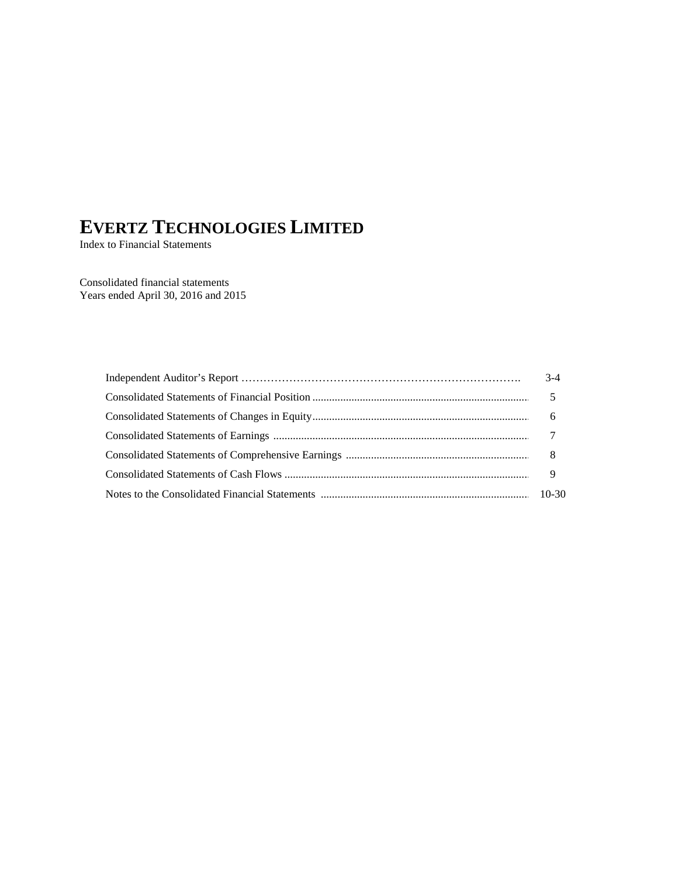Index to Financial Statements

Consolidated financial statements Years ended April 30, 2016 and 2015

| $3-4$ |
|-------|
|       |
|       |
|       |
|       |
|       |
|       |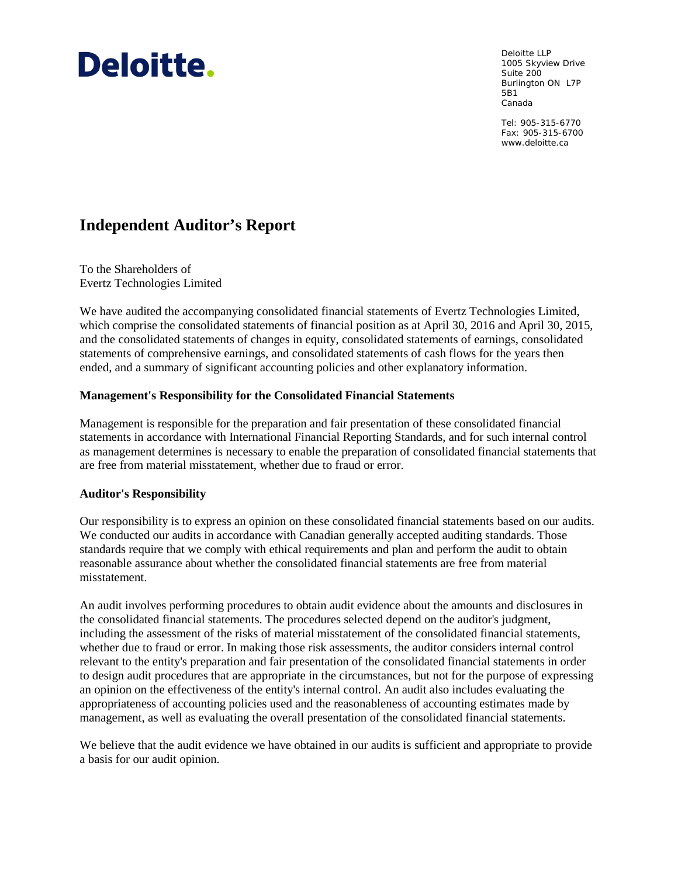# **Deloitte.**

Deloitte LLP 1005 Skyview Drive Suite 200 Burlington ON L7P 5B1 Canada

Tel: 905-315-6770 Fax: 905-315-6700 www.deloitte.ca

# **Independent Auditor's Report**

To the Shareholders of Evertz Technologies Limited

We have audited the accompanying consolidated financial statements of Evertz Technologies Limited, which comprise the consolidated statements of financial position as at April 30, 2016 and April 30, 2015, and the consolidated statements of changes in equity, consolidated statements of earnings, consolidated statements of comprehensive earnings, and consolidated statements of cash flows for the years then ended, and a summary of significant accounting policies and other explanatory information.

## **Management's Responsibility for the Consolidated Financial Statements**

Management is responsible for the preparation and fair presentation of these consolidated financial statements in accordance with International Financial Reporting Standards, and for such internal control as management determines is necessary to enable the preparation of consolidated financial statements that are free from material misstatement, whether due to fraud or error.

## **Auditor's Responsibility**

Our responsibility is to express an opinion on these consolidated financial statements based on our audits. We conducted our audits in accordance with Canadian generally accepted auditing standards. Those standards require that we comply with ethical requirements and plan and perform the audit to obtain reasonable assurance about whether the consolidated financial statements are free from material misstatement.

An audit involves performing procedures to obtain audit evidence about the amounts and disclosures in the consolidated financial statements. The procedures selected depend on the auditor's judgment, including the assessment of the risks of material misstatement of the consolidated financial statements, whether due to fraud or error. In making those risk assessments, the auditor considers internal control relevant to the entity's preparation and fair presentation of the consolidated financial statements in order to design audit procedures that are appropriate in the circumstances, but not for the purpose of expressing an opinion on the effectiveness of the entity's internal control. An audit also includes evaluating the appropriateness of accounting policies used and the reasonableness of accounting estimates made by management, as well as evaluating the overall presentation of the consolidated financial statements.

We believe that the audit evidence we have obtained in our audits is sufficient and appropriate to provide a basis for our audit opinion.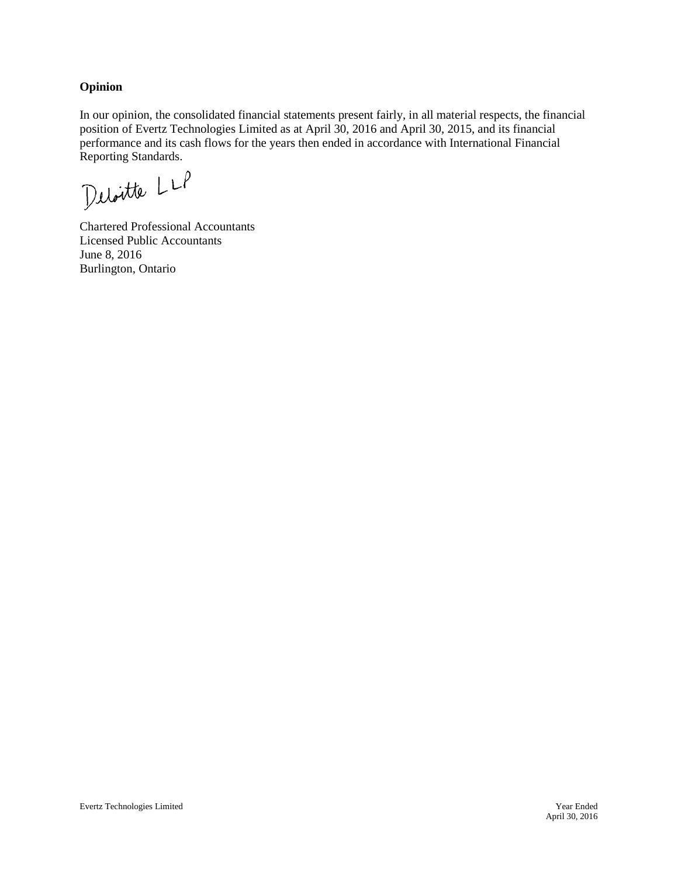#### **Opinion**

In our opinion, the consolidated financial statements present fairly, in all material respects, the financial position of Evertz Technologies Limited as at April 30, 2016 and April 30, 2015, and its financial performance and its cash flows for the years then ended in accordance with International Financial Reporting Standards.

Deloitte LLP

Chartered Professional Accountants Licensed Public Accountants June 8, 2016 Burlington, Ontario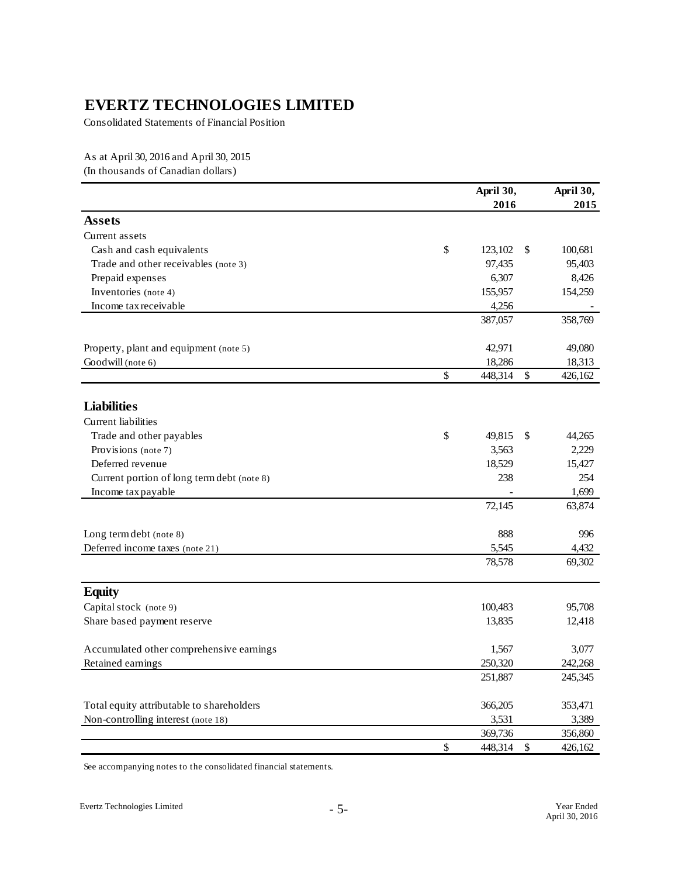Consolidated Statements of Financial Position

As at April 30, 2016 and April 30, 2015 (In thousands of Canadian dollars)

|                                            |               | April 30,<br>2016 |      | April 30,<br>2015 |
|--------------------------------------------|---------------|-------------------|------|-------------------|
| <b>Assets</b>                              |               |                   |      |                   |
| Current assets                             |               |                   |      |                   |
| Cash and cash equivalents                  | $\mathsf{\$}$ | 123,102           | \$   | 100,681           |
| Trade and other receivables (note 3)       |               | 97,435            |      | 95,403            |
| Prepaid expenses                           |               | 6,307             |      | 8,426             |
| Inventories (note 4)                       |               | 155,957           |      | 154,259           |
| Income tax receivable                      |               | 4,256             |      |                   |
|                                            |               | 387,057           |      | 358,769           |
| Property, plant and equipment (note 5)     |               | 42,971            |      | 49,080            |
| Goodwill (note 6)                          |               | 18,286            |      | 18,313            |
|                                            | \$            | 448,314           | \$   | 426,162           |
| <b>Liabilities</b>                         |               |                   |      |                   |
| <b>Current liabilities</b>                 |               |                   |      |                   |
| Trade and other payables                   | \$            | 49,815            | \$   | 44,265            |
| Provisions (note 7)                        |               | 3,563             |      | 2,229             |
| Deferred revenue                           |               | 18,529            |      | 15,427            |
| Current portion of long term debt (note 8) |               | 238               |      | 254               |
| Income tax payable                         |               |                   |      | 1,699             |
|                                            |               | 72,145            |      | 63,874            |
| Long term debt (note 8)                    |               | 888               |      | 996               |
| Deferred income taxes (note 21)            |               | 5,545             |      | 4,432             |
|                                            |               | 78,578            |      | 69,302            |
| <b>Equity</b>                              |               |                   |      |                   |
| Capital stock (note 9)                     |               | 100,483           |      | 95,708            |
| Share based payment reserve                |               | 13,835            |      | 12,418            |
| Accumulated other comprehensive earnings   |               | 1,567             |      | 3,077             |
| Retained earnings                          |               | 250,320           |      | 242,268           |
|                                            |               | 251,887           |      | 245,345           |
| Total equity attributable to shareholders  |               | 366,205           |      | 353,471           |
| Non-controlling interest (note 18)         |               | 3,531             |      | 3,389             |
|                                            |               | 369,736           |      | 356,860           |
|                                            | \$            | 448,314           | $\$$ | 426,162           |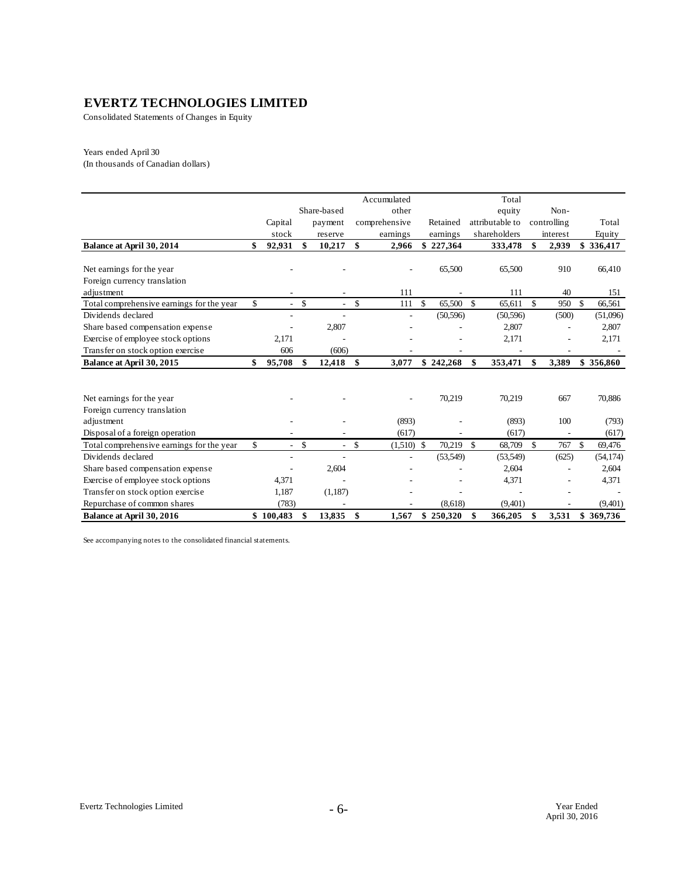Consolidated Statements of Changes in Equity

#### Years ended April 30

(In thousands of Canadian dollars)

|                                           |                      |                          |              | Accumulated   |                    |           |                    | Total           |             |              |
|-------------------------------------------|----------------------|--------------------------|--------------|---------------|--------------------|-----------|--------------------|-----------------|-------------|--------------|
|                                           |                      | Share-based              |              | other         |                    |           |                    | equity          | Non-        |              |
|                                           | Capital              | payment                  |              | comprehensive |                    | Retained  |                    | attributable to | controlling | Total        |
|                                           | stock                | reserve                  |              | earnings      |                    | earnings  |                    | shareholders    | interest    | Equity       |
| Balance at April 30, 2014                 | \$<br>92,931         | \$<br>10,217             | \$           | 2,966         |                    | \$227,364 |                    | 333,478         | \$<br>2,939 | \$336,417    |
|                                           |                      |                          |              |               |                    |           |                    |                 |             |              |
| Net earnings for the year                 |                      |                          |              |               |                    | 65,500    |                    | 65,500          | 910         | 66,410       |
| Foreign currency translation              |                      |                          |              |               |                    |           |                    |                 |             |              |
| adjustment                                |                      |                          |              | 111           |                    |           |                    | 111             | 40          | 151          |
| Total comprehensive earnings for the year | \$<br>$\overline{a}$ | \$<br>$\mathcal{L}$      | \$           | 111           | \$                 | 65,500    | $\mathbf{\hat{S}}$ | 65,611          | \$<br>950   | \$<br>66,561 |
| Dividends declared                        |                      | $\overline{\phantom{a}}$ |              |               |                    | (50, 596) |                    | (50, 596)       | (500)       | (51,096)     |
| Share based compensation expense          |                      | 2,807                    |              |               |                    |           |                    | 2,807           |             | 2,807        |
| Exercise of employee stock options        | 2,171                |                          |              |               |                    |           |                    | 2,171           |             | 2,171        |
| Transfer on stock option exercise         | 606                  | (606)                    |              |               |                    |           |                    |                 |             |              |
| Balance at April 30, 2015                 | \$<br>95,708         | \$<br>12,418             | - \$         | 3,077         |                    | \$242,268 | \$                 | 353,471         | \$<br>3,389 | \$356,860    |
|                                           |                      |                          |              |               |                    |           |                    |                 |             |              |
|                                           |                      |                          |              |               |                    |           |                    |                 |             |              |
| Net earnings for the year                 |                      |                          |              |               |                    | 70,219    |                    | 70,219          | 667         | 70,886       |
| Foreign currency translation              |                      |                          |              |               |                    |           |                    |                 |             |              |
| adjustment                                |                      |                          |              | (893)         |                    |           |                    | (893)           | 100         | (793)        |
| Disposal of a foreign operation           |                      |                          |              | (617)         |                    |           |                    | (617)           |             | (617)        |
| Total comprehensive earnings for the year | \$<br>$\overline{a}$ | \$<br>$\sim$             | $\mathbb{S}$ | (1,510)       | $\mathbf{\hat{S}}$ | 70.219    | $\mathbf{s}$       | 68,709          | \$<br>767   | \$<br>69,476 |
| Dividends declared                        |                      |                          |              | ٠             |                    | (53,549)  |                    | (53,549)        | (625)       | (54, 174)    |
| Share based compensation expense          |                      | 2,604                    |              |               |                    |           |                    | 2,604           |             | 2,604        |
| Exercise of employee stock options        | 4,371                |                          |              |               |                    |           |                    | 4,371           |             | 4,371        |
| Transfer on stock option exercise         | 1,187                | (1,187)                  |              |               |                    |           |                    |                 |             |              |
| Repurchase of common shares               | (783)                |                          |              |               |                    | (8,618)   |                    | (9,401)         |             | (9,401)      |
| Balance at April 30, 2016                 | \$100,483            | \$<br>13,835             | \$           | 1,567         |                    | \$250,320 | \$                 | 366,205         | \$<br>3,531 | \$369,736    |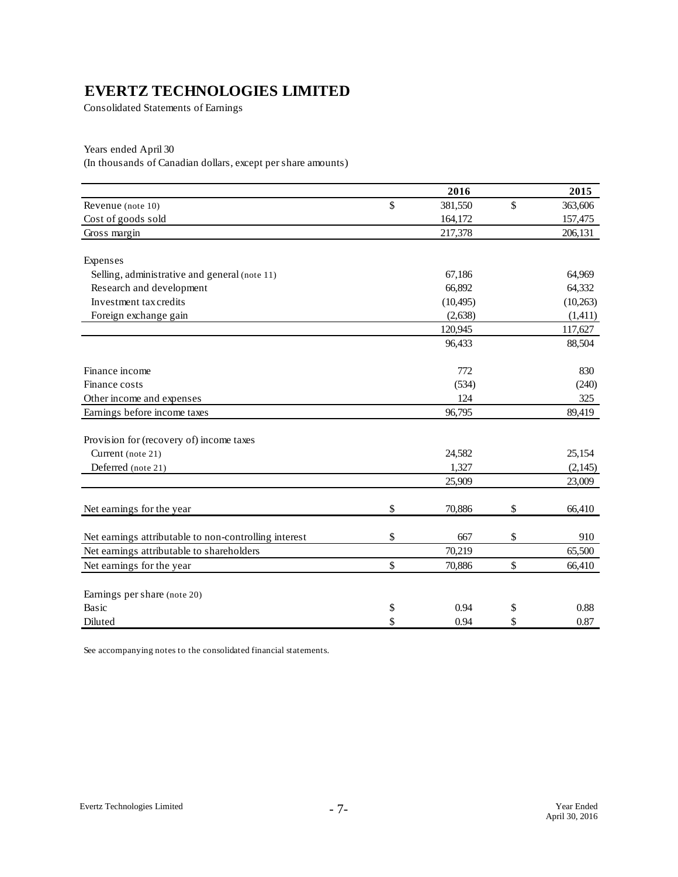Consolidated Statements of Earnings

Years ended April 30

(In thousands of Canadian dollars, except per share amounts)

|                                                       | 2016          | 2015          |
|-------------------------------------------------------|---------------|---------------|
| Revenue (note 10)                                     | \$<br>381,550 | \$<br>363,606 |
| Cost of goods sold                                    | 164,172       | 157,475       |
| Gross margin                                          | 217,378       | 206,131       |
|                                                       |               |               |
| Expenses                                              |               |               |
| Selling, administrative and general (note 11)         | 67,186        | 64,969        |
| Research and development                              | 66,892        | 64,332        |
| Investment tax credits                                | (10, 495)     | (10, 263)     |
| Foreign exchange gain                                 | (2,638)       | (1, 411)      |
|                                                       | 120,945       | 117,627       |
|                                                       | 96,433        | 88,504        |
| Finance income                                        | 772           | 830           |
| Finance costs                                         | (534)         | (240)         |
| Other income and expenses                             | 124           | 325           |
| Earnings before income taxes                          | 96,795        | 89,419        |
|                                                       |               |               |
| Provision for (recovery of) income taxes              |               |               |
| Current (note 21)                                     | 24,582        | 25,154        |
| Deferred (note 21)                                    | 1,327         | (2, 145)      |
|                                                       | 25,909        | 23,009        |
| Net earnings for the year                             | \$<br>70,886  | \$<br>66,410  |
|                                                       |               |               |
| Net earnings attributable to non-controlling interest | \$<br>667     | \$<br>910     |
| Net earnings attributable to shareholders             | 70,219        | 65,500        |
| Net earnings for the year                             | \$<br>70,886  | \$<br>66,410  |
|                                                       |               |               |
| Earnings per share (note 20)                          |               |               |
| Basic                                                 | \$<br>0.94    | \$<br>0.88    |
| Diluted                                               | \$<br>0.94    | \$<br>0.87    |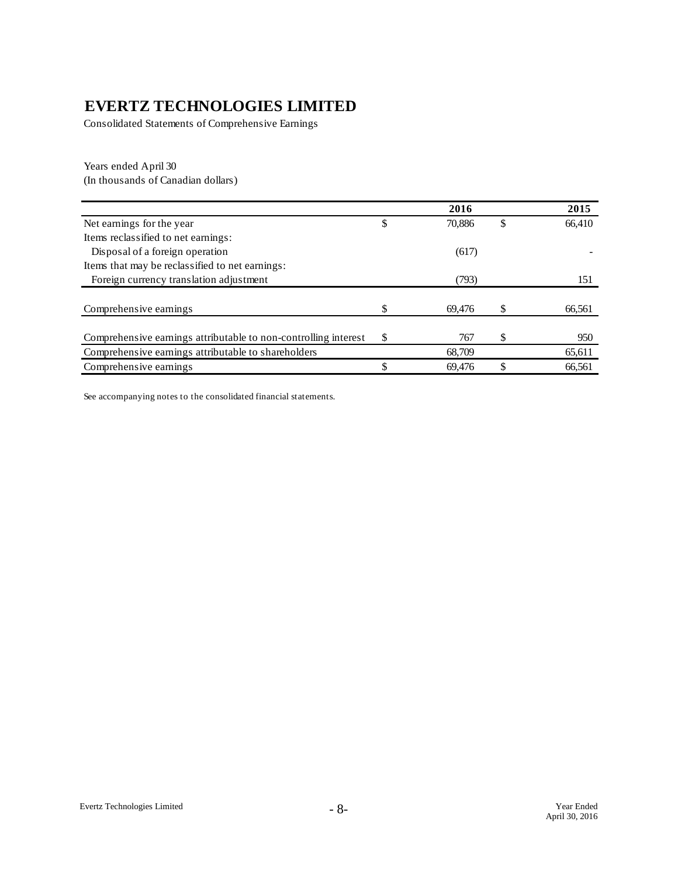Consolidated Statements of Comprehensive Earnings

Years ended April 30 (In thousands of Canadian dollars)

|                                                                 |    | 2016   |    | 2015   |
|-----------------------------------------------------------------|----|--------|----|--------|
| Net earnings for the year.                                      | \$ | 70.886 | S  | 66,410 |
| Items reclassified to net earnings:                             |    |        |    |        |
| Disposal of a foreign operation                                 |    | (617)  |    |        |
| Items that may be reclassified to net earnings:                 |    |        |    |        |
| Foreign currency translation adjustment                         |    | (793)  |    | 151    |
|                                                                 |    |        |    |        |
| Comprehensive earnings                                          |    | 69.476 |    | 66,561 |
|                                                                 |    |        |    |        |
| Comprehensive earnings attributable to non-controlling interest | S  | 767    | \$ | 950    |
| Comprehensive earnings attributable to shareholders             |    | 68.709 |    | 65,611 |
| Comprehensive earnings                                          |    | 69,476 |    | 66,561 |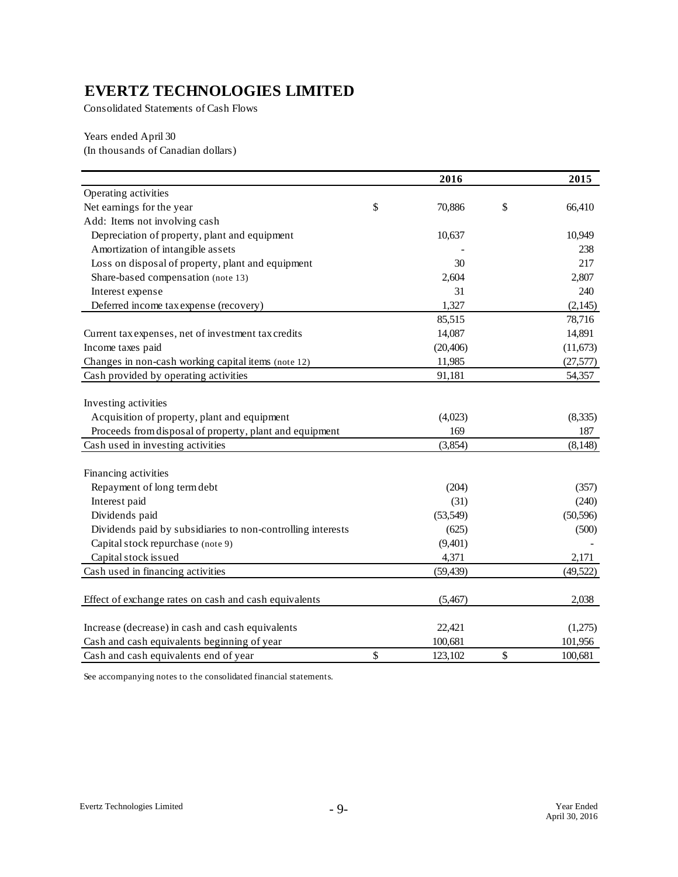Consolidated Statements of Cash Flows

Years ended April 30 (In thousands of Canadian dollars)

|                                                             | 2016          | 2015          |
|-------------------------------------------------------------|---------------|---------------|
| Operating activities                                        |               |               |
| Net earnings for the year                                   | \$<br>70,886  | \$<br>66,410  |
| Add: Items not involving cash                               |               |               |
| Depreciation of property, plant and equipment               | 10,637        | 10,949        |
| Amortization of intangible assets                           |               | 238           |
| Loss on disposal of property, plant and equipment           | 30            | 217           |
| Share-based compensation (note 13)                          | 2,604         | 2,807         |
| Interest expense                                            | 31            | 240           |
| Deferred income tax expense (recovery)                      | 1,327         | (2, 145)      |
|                                                             | 85,515        | 78,716        |
| Current tax expenses, net of investment tax credits         | 14,087        | 14,891        |
| Income taxes paid                                           | (20, 406)     | (11, 673)     |
| Changes in non-cash working capital items (note 12)         | 11,985        | (27, 577)     |
| Cash provided by operating activities                       | 91,181        | 54,357        |
| Investing activities                                        |               |               |
| Acquisition of property, plant and equipment                | (4,023)       | (8,335)       |
| Proceeds from disposal of property, plant and equipment     | 169           | 187           |
| Cash used in investing activities                           | (3,854)       | (8, 148)      |
| Financing activities                                        |               |               |
| Repayment of long term debt                                 | (204)         | (357)         |
| Interest paid                                               | (31)          | (240)         |
| Dividends paid                                              | (53, 549)     | (50, 596)     |
| Dividends paid by subsidiaries to non-controlling interests | (625)         | (500)         |
| Capital stock repurchase (note 9)                           | (9,401)       |               |
| Capital stock issued                                        | 4,371         | 2,171         |
| Cash used in financing activities                           | (59, 439)     | (49,522)      |
|                                                             |               |               |
| Effect of exchange rates on cash and cash equivalents       | (5,467)       | 2,038         |
| Increase (decrease) in cash and cash equivalents            | 22,421        | (1,275)       |
| Cash and cash equivalents beginning of year                 | 100,681       | 101,956       |
| Cash and cash equivalents end of year                       | \$<br>123,102 | \$<br>100,681 |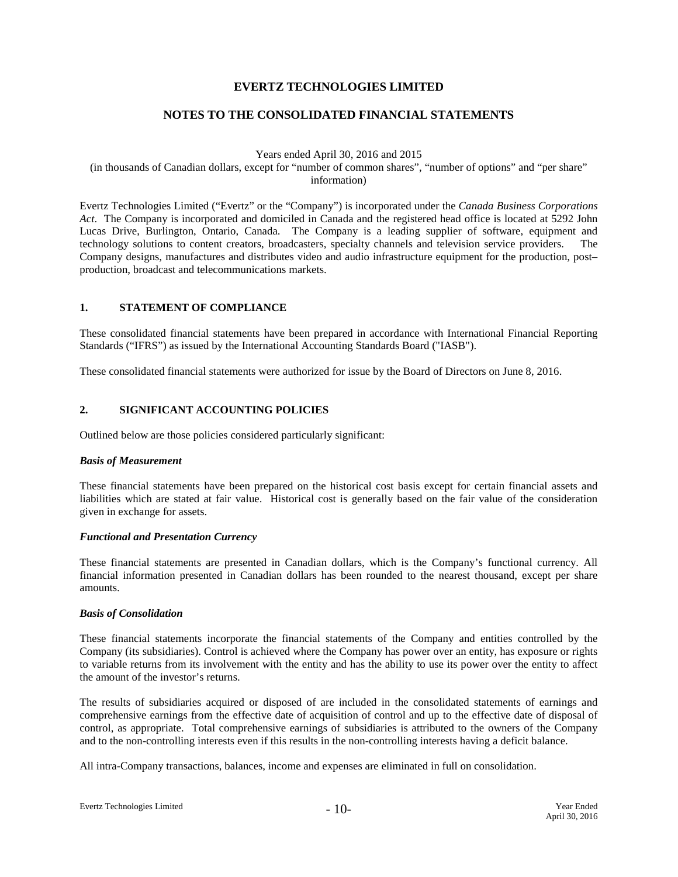#### **NOTES TO THE CONSOLIDATED FINANCIAL STATEMENTS**

Years ended April 30, 2016 and 2015

(in thousands of Canadian dollars, except for "number of common shares", "number of options" and "per share" information)

Evertz Technologies Limited ("Evertz" or the "Company") is incorporated under the *Canada Business Corporations Act*. The Company is incorporated and domiciled in Canada and the registered head office is located at 5292 John Lucas Drive, Burlington, Ontario, Canada. The Company is a leading supplier of software, equipment and technology solutions to content creators, broadcasters, specialty channels and television service providers. The Company designs, manufactures and distributes video and audio infrastructure equipment for the production, post– production, broadcast and telecommunications markets.

#### **1. STATEMENT OF COMPLIANCE**

These consolidated financial statements have been prepared in accordance with International Financial Reporting Standards ("IFRS") as issued by the International Accounting Standards Board ("IASB").

These consolidated financial statements were authorized for issue by the Board of Directors on June 8, 2016.

#### **2. SIGNIFICANT ACCOUNTING POLICIES**

Outlined below are those policies considered particularly significant:

#### *Basis of Measurement*

These financial statements have been prepared on the historical cost basis except for certain financial assets and liabilities which are stated at fair value. Historical cost is generally based on the fair value of the consideration given in exchange for assets.

#### *Functional and Presentation Currency*

These financial statements are presented in Canadian dollars, which is the Company's functional currency. All financial information presented in Canadian dollars has been rounded to the nearest thousand, except per share amounts.

#### *Basis of Consolidation*

These financial statements incorporate the financial statements of the Company and entities controlled by the Company (its subsidiaries). Control is achieved where the Company has power over an entity, has exposure or rights to variable returns from its involvement with the entity and has the ability to use its power over the entity to affect the amount of the investor's returns.

The results of subsidiaries acquired or disposed of are included in the consolidated statements of earnings and comprehensive earnings from the effective date of acquisition of control and up to the effective date of disposal of control, as appropriate. Total comprehensive earnings of subsidiaries is attributed to the owners of the Company and to the non-controlling interests even if this results in the non-controlling interests having a deficit balance.

All intra-Company transactions, balances, income and expenses are eliminated in full on consolidation.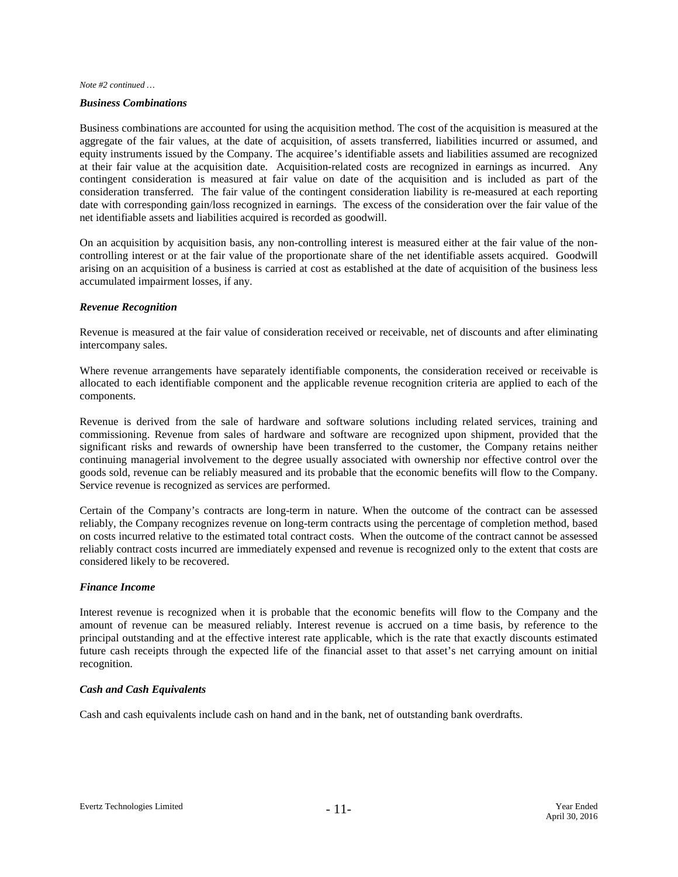#### *Business Combinations*

Business combinations are accounted for using the acquisition method. The cost of the acquisition is measured at the aggregate of the fair values, at the date of acquisition, of assets transferred, liabilities incurred or assumed, and equity instruments issued by the Company. The acquiree's identifiable assets and liabilities assumed are recognized at their fair value at the acquisition date. Acquisition-related costs are recognized in earnings as incurred. Any contingent consideration is measured at fair value on date of the acquisition and is included as part of the consideration transferred. The fair value of the contingent consideration liability is re-measured at each reporting date with corresponding gain/loss recognized in earnings. The excess of the consideration over the fair value of the net identifiable assets and liabilities acquired is recorded as goodwill.

On an acquisition by acquisition basis, any non-controlling interest is measured either at the fair value of the noncontrolling interest or at the fair value of the proportionate share of the net identifiable assets acquired. Goodwill arising on an acquisition of a business is carried at cost as established at the date of acquisition of the business less accumulated impairment losses, if any.

#### *Revenue Recognition*

Revenue is measured at the fair value of consideration received or receivable, net of discounts and after eliminating intercompany sales.

Where revenue arrangements have separately identifiable components, the consideration received or receivable is allocated to each identifiable component and the applicable revenue recognition criteria are applied to each of the components.

Revenue is derived from the sale of hardware and software solutions including related services, training and commissioning. Revenue from sales of hardware and software are recognized upon shipment, provided that the significant risks and rewards of ownership have been transferred to the customer, the Company retains neither continuing managerial involvement to the degree usually associated with ownership nor effective control over the goods sold, revenue can be reliably measured and its probable that the economic benefits will flow to the Company. Service revenue is recognized as services are performed.

Certain of the Company's contracts are long-term in nature. When the outcome of the contract can be assessed reliably, the Company recognizes revenue on long-term contracts using the percentage of completion method, based on costs incurred relative to the estimated total contract costs. When the outcome of the contract cannot be assessed reliably contract costs incurred are immediately expensed and revenue is recognized only to the extent that costs are considered likely to be recovered.

#### *Finance Income*

Interest revenue is recognized when it is probable that the economic benefits will flow to the Company and the amount of revenue can be measured reliably. Interest revenue is accrued on a time basis, by reference to the principal outstanding and at the effective interest rate applicable, which is the rate that exactly discounts estimated future cash receipts through the expected life of the financial asset to that asset's net carrying amount on initial recognition.

#### *Cash and Cash Equivalents*

Cash and cash equivalents include cash on hand and in the bank, net of outstanding bank overdrafts.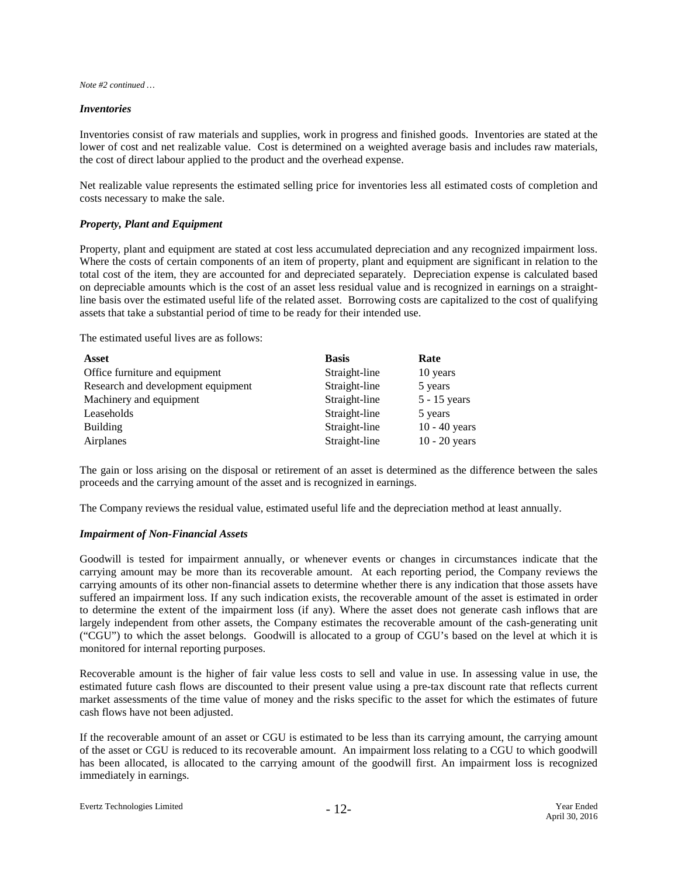#### *Inventories*

Inventories consist of raw materials and supplies, work in progress and finished goods. Inventories are stated at the lower of cost and net realizable value. Cost is determined on a weighted average basis and includes raw materials, the cost of direct labour applied to the product and the overhead expense.

Net realizable value represents the estimated selling price for inventories less all estimated costs of completion and costs necessary to make the sale.

#### *Property, Plant and Equipment*

Property, plant and equipment are stated at cost less accumulated depreciation and any recognized impairment loss. Where the costs of certain components of an item of property, plant and equipment are significant in relation to the total cost of the item, they are accounted for and depreciated separately. Depreciation expense is calculated based on depreciable amounts which is the cost of an asset less residual value and is recognized in earnings on a straightline basis over the estimated useful life of the related asset. Borrowing costs are capitalized to the cost of qualifying assets that take a substantial period of time to be ready for their intended use.

The estimated useful lives are as follows:

| Asset                              | <b>Basis</b>  | Rate            |
|------------------------------------|---------------|-----------------|
| Office furniture and equipment     | Straight-line | 10 years        |
| Research and development equipment | Straight-line | 5 years         |
| Machinery and equipment            | Straight-line | $5 - 15$ years  |
| Leaseholds                         | Straight-line | 5 years         |
| <b>Building</b>                    | Straight-line | $10 - 40$ years |
| Airplanes                          | Straight-line | $10 - 20$ years |

The gain or loss arising on the disposal or retirement of an asset is determined as the difference between the sales proceeds and the carrying amount of the asset and is recognized in earnings.

The Company reviews the residual value, estimated useful life and the depreciation method at least annually.

#### *Impairment of Non-Financial Assets*

Goodwill is tested for impairment annually, or whenever events or changes in circumstances indicate that the carrying amount may be more than its recoverable amount. At each reporting period, the Company reviews the carrying amounts of its other non-financial assets to determine whether there is any indication that those assets have suffered an impairment loss. If any such indication exists, the recoverable amount of the asset is estimated in order to determine the extent of the impairment loss (if any). Where the asset does not generate cash inflows that are largely independent from other assets, the Company estimates the recoverable amount of the cash-generating unit ("CGU") to which the asset belongs. Goodwill is allocated to a group of CGU's based on the level at which it is monitored for internal reporting purposes.

Recoverable amount is the higher of fair value less costs to sell and value in use. In assessing value in use, the estimated future cash flows are discounted to their present value using a pre-tax discount rate that reflects current market assessments of the time value of money and the risks specific to the asset for which the estimates of future cash flows have not been adjusted.

If the recoverable amount of an asset or CGU is estimated to be less than its carrying amount, the carrying amount of the asset or CGU is reduced to its recoverable amount. An impairment loss relating to a CGU to which goodwill has been allocated, is allocated to the carrying amount of the goodwill first. An impairment loss is recognized immediately in earnings.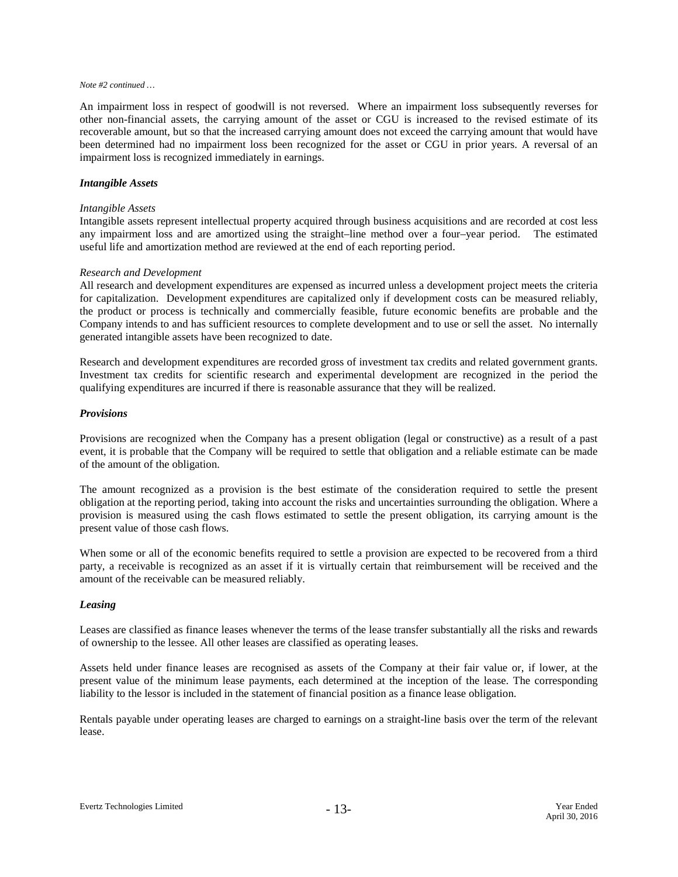An impairment loss in respect of goodwill is not reversed. Where an impairment loss subsequently reverses for other non-financial assets, the carrying amount of the asset or CGU is increased to the revised estimate of its recoverable amount, but so that the increased carrying amount does not exceed the carrying amount that would have been determined had no impairment loss been recognized for the asset or CGU in prior years. A reversal of an impairment loss is recognized immediately in earnings.

#### *Intangible Assets*

#### *Intangible Assets*

Intangible assets represent intellectual property acquired through business acquisitions and are recorded at cost less any impairment loss and are amortized using the straight–line method over a four–year period. The estimated useful life and amortization method are reviewed at the end of each reporting period.

#### *Research and Development*

All research and development expenditures are expensed as incurred unless a development project meets the criteria for capitalization. Development expenditures are capitalized only if development costs can be measured reliably, the product or process is technically and commercially feasible, future economic benefits are probable and the Company intends to and has sufficient resources to complete development and to use or sell the asset. No internally generated intangible assets have been recognized to date.

Research and development expenditures are recorded gross of investment tax credits and related government grants. Investment tax credits for scientific research and experimental development are recognized in the period the qualifying expenditures are incurred if there is reasonable assurance that they will be realized.

#### *Provisions*

Provisions are recognized when the Company has a present obligation (legal or constructive) as a result of a past event, it is probable that the Company will be required to settle that obligation and a reliable estimate can be made of the amount of the obligation.

The amount recognized as a provision is the best estimate of the consideration required to settle the present obligation at the reporting period, taking into account the risks and uncertainties surrounding the obligation. Where a provision is measured using the cash flows estimated to settle the present obligation, its carrying amount is the present value of those cash flows.

When some or all of the economic benefits required to settle a provision are expected to be recovered from a third party, a receivable is recognized as an asset if it is virtually certain that reimbursement will be received and the amount of the receivable can be measured reliably.

#### *Leasing*

Leases are classified as finance leases whenever the terms of the lease transfer substantially all the risks and rewards of ownership to the lessee. All other leases are classified as operating leases.

Assets held under finance leases are recognised as assets of the Company at their fair value or, if lower, at the present value of the minimum lease payments, each determined at the inception of the lease. The corresponding liability to the lessor is included in the statement of financial position as a finance lease obligation.

Rentals payable under operating leases are charged to earnings on a straight-line basis over the term of the relevant lease.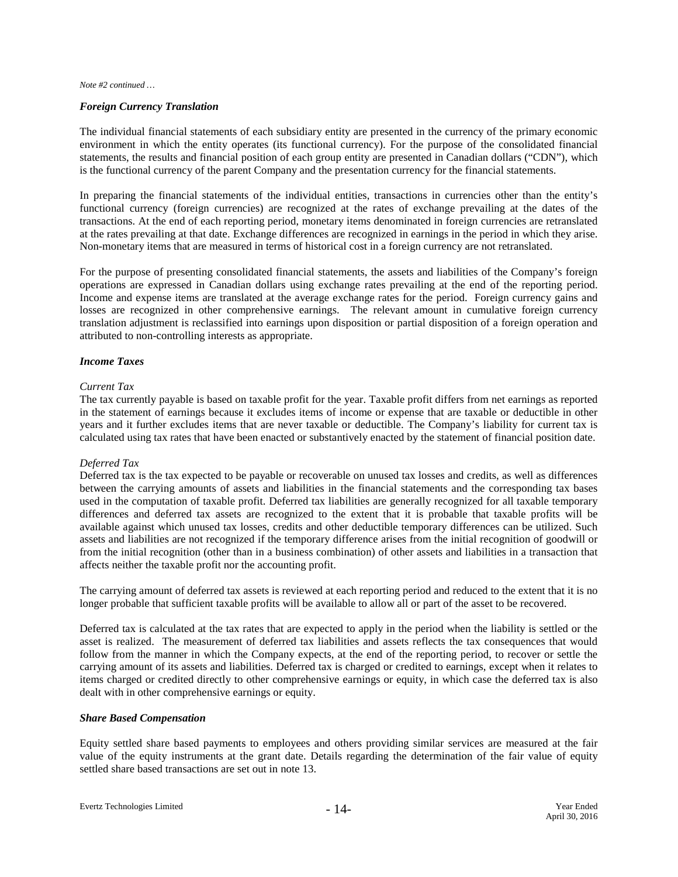#### *Foreign Currency Translation*

The individual financial statements of each subsidiary entity are presented in the currency of the primary economic environment in which the entity operates (its functional currency). For the purpose of the consolidated financial statements, the results and financial position of each group entity are presented in Canadian dollars ("CDN"), which is the functional currency of the parent Company and the presentation currency for the financial statements.

In preparing the financial statements of the individual entities, transactions in currencies other than the entity's functional currency (foreign currencies) are recognized at the rates of exchange prevailing at the dates of the transactions. At the end of each reporting period, monetary items denominated in foreign currencies are retranslated at the rates prevailing at that date. Exchange differences are recognized in earnings in the period in which they arise. Non-monetary items that are measured in terms of historical cost in a foreign currency are not retranslated.

For the purpose of presenting consolidated financial statements, the assets and liabilities of the Company's foreign operations are expressed in Canadian dollars using exchange rates prevailing at the end of the reporting period. Income and expense items are translated at the average exchange rates for the period. Foreign currency gains and losses are recognized in other comprehensive earnings. The relevant amount in cumulative foreign currency translation adjustment is reclassified into earnings upon disposition or partial disposition of a foreign operation and attributed to non-controlling interests as appropriate.

#### *Income Taxes*

#### *Current Tax*

The tax currently payable is based on taxable profit for the year. Taxable profit differs from net earnings as reported in the statement of earnings because it excludes items of income or expense that are taxable or deductible in other years and it further excludes items that are never taxable or deductible. The Company's liability for current tax is calculated using tax rates that have been enacted or substantively enacted by the statement of financial position date.

#### *Deferred Tax*

Deferred tax is the tax expected to be payable or recoverable on unused tax losses and credits, as well as differences between the carrying amounts of assets and liabilities in the financial statements and the corresponding tax bases used in the computation of taxable profit. Deferred tax liabilities are generally recognized for all taxable temporary differences and deferred tax assets are recognized to the extent that it is probable that taxable profits will be available against which unused tax losses, credits and other deductible temporary differences can be utilized. Such assets and liabilities are not recognized if the temporary difference arises from the initial recognition of goodwill or from the initial recognition (other than in a business combination) of other assets and liabilities in a transaction that affects neither the taxable profit nor the accounting profit.

The carrying amount of deferred tax assets is reviewed at each reporting period and reduced to the extent that it is no longer probable that sufficient taxable profits will be available to allow all or part of the asset to be recovered.

Deferred tax is calculated at the tax rates that are expected to apply in the period when the liability is settled or the asset is realized. The measurement of deferred tax liabilities and assets reflects the tax consequences that would follow from the manner in which the Company expects, at the end of the reporting period, to recover or settle the carrying amount of its assets and liabilities. Deferred tax is charged or credited to earnings, except when it relates to items charged or credited directly to other comprehensive earnings or equity, in which case the deferred tax is also dealt with in other comprehensive earnings or equity.

#### *Share Based Compensation*

Equity settled share based payments to employees and others providing similar services are measured at the fair value of the equity instruments at the grant date. Details regarding the determination of the fair value of equity settled share based transactions are set out in note 13.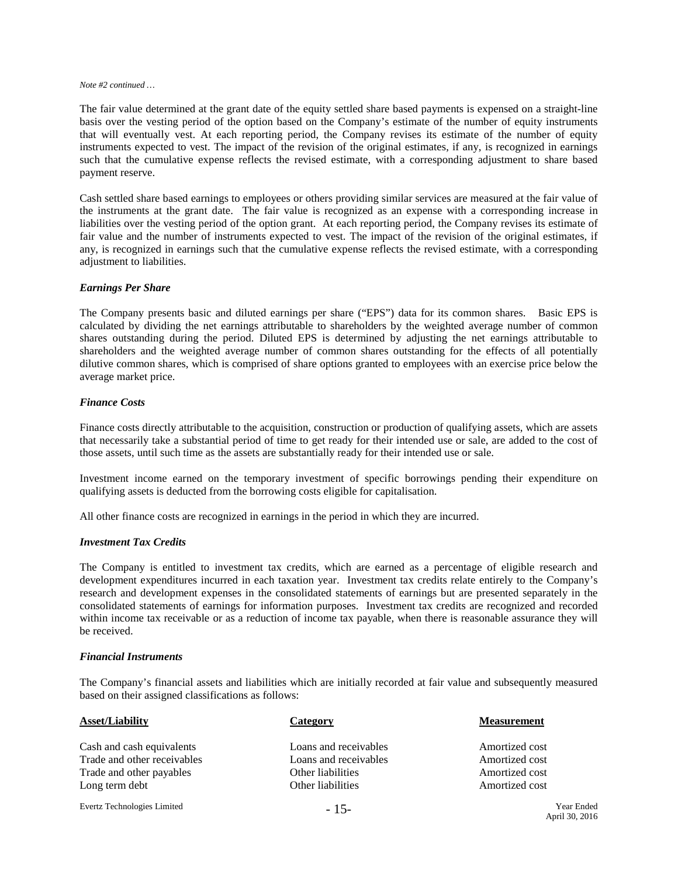The fair value determined at the grant date of the equity settled share based payments is expensed on a straight-line basis over the vesting period of the option based on the Company's estimate of the number of equity instruments that will eventually vest. At each reporting period, the Company revises its estimate of the number of equity instruments expected to vest. The impact of the revision of the original estimates, if any, is recognized in earnings such that the cumulative expense reflects the revised estimate, with a corresponding adjustment to share based payment reserve.

Cash settled share based earnings to employees or others providing similar services are measured at the fair value of the instruments at the grant date. The fair value is recognized as an expense with a corresponding increase in liabilities over the vesting period of the option grant. At each reporting period, the Company revises its estimate of fair value and the number of instruments expected to vest. The impact of the revision of the original estimates, if any, is recognized in earnings such that the cumulative expense reflects the revised estimate, with a corresponding adjustment to liabilities.

#### *Earnings Per Share*

The Company presents basic and diluted earnings per share ("EPS") data for its common shares. Basic EPS is calculated by dividing the net earnings attributable to shareholders by the weighted average number of common shares outstanding during the period. Diluted EPS is determined by adjusting the net earnings attributable to shareholders and the weighted average number of common shares outstanding for the effects of all potentially dilutive common shares, which is comprised of share options granted to employees with an exercise price below the average market price.

#### *Finance Costs*

Finance costs directly attributable to the acquisition, construction or production of qualifying assets, which are assets that necessarily take a substantial period of time to get ready for their intended use or sale, are added to the cost of those assets, until such time as the assets are substantially ready for their intended use or sale.

Investment income earned on the temporary investment of specific borrowings pending their expenditure on qualifying assets is deducted from the borrowing costs eligible for capitalisation.

All other finance costs are recognized in earnings in the period in which they are incurred.

#### *Investment Tax Credits*

The Company is entitled to investment tax credits, which are earned as a percentage of eligible research and development expenditures incurred in each taxation year. Investment tax credits relate entirely to the Company's research and development expenses in the consolidated statements of earnings but are presented separately in the consolidated statements of earnings for information purposes. Investment tax credits are recognized and recorded within income tax receivable or as a reduction of income tax payable, when there is reasonable assurance they will be received.

#### *Financial Instruments*

The Company's financial assets and liabilities which are initially recorded at fair value and subsequently measured based on their assigned classifications as follows:

| <b>Asset/Liability</b>      | Category              | <b>Measurement</b>                  |
|-----------------------------|-----------------------|-------------------------------------|
| Cash and cash equivalents   | Loans and receivables | Amortized cost                      |
| Trade and other receivables | Loans and receivables | Amortized cost                      |
| Trade and other payables    | Other liabilities     | Amortized cost                      |
| Long term debt              | Other liabilities     | Amortized cost                      |
| Evertz Technologies Limited | $-15-$                | <b>Year Ended</b><br>$A = 120.2016$ |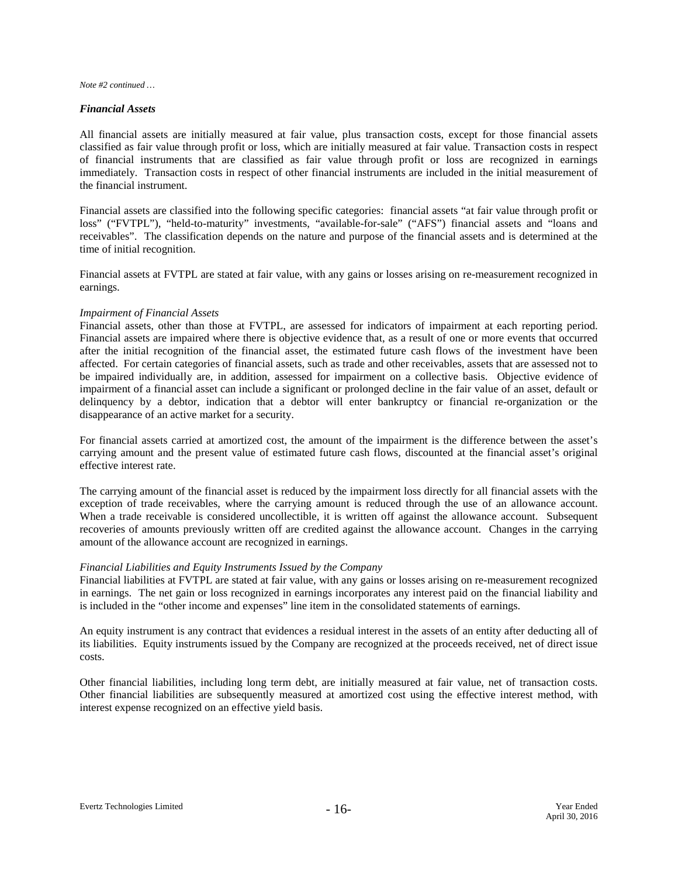#### *Financial Assets*

All financial assets are initially measured at fair value, plus transaction costs, except for those financial assets classified as fair value through profit or loss, which are initially measured at fair value. Transaction costs in respect of financial instruments that are classified as fair value through profit or loss are recognized in earnings immediately. Transaction costs in respect of other financial instruments are included in the initial measurement of the financial instrument.

Financial assets are classified into the following specific categories: financial assets "at fair value through profit or loss" ("FVTPL"), "held-to-maturity" investments, "available-for-sale" ("AFS") financial assets and "loans and receivables". The classification depends on the nature and purpose of the financial assets and is determined at the time of initial recognition.

Financial assets at FVTPL are stated at fair value, with any gains or losses arising on re-measurement recognized in earnings.

#### *Impairment of Financial Assets*

Financial assets, other than those at FVTPL, are assessed for indicators of impairment at each reporting period. Financial assets are impaired where there is objective evidence that, as a result of one or more events that occurred after the initial recognition of the financial asset, the estimated future cash flows of the investment have been affected. For certain categories of financial assets, such as trade and other receivables, assets that are assessed not to be impaired individually are, in addition, assessed for impairment on a collective basis. Objective evidence of impairment of a financial asset can include a significant or prolonged decline in the fair value of an asset, default or delinquency by a debtor, indication that a debtor will enter bankruptcy or financial re-organization or the disappearance of an active market for a security.

For financial assets carried at amortized cost, the amount of the impairment is the difference between the asset's carrying amount and the present value of estimated future cash flows, discounted at the financial asset's original effective interest rate.

The carrying amount of the financial asset is reduced by the impairment loss directly for all financial assets with the exception of trade receivables, where the carrying amount is reduced through the use of an allowance account. When a trade receivable is considered uncollectible, it is written off against the allowance account. Subsequent recoveries of amounts previously written off are credited against the allowance account. Changes in the carrying amount of the allowance account are recognized in earnings.

#### *Financial Liabilities and Equity Instruments Issued by the Company*

Financial liabilities at FVTPL are stated at fair value, with any gains or losses arising on re-measurement recognized in earnings. The net gain or loss recognized in earnings incorporates any interest paid on the financial liability and is included in the "other income and expenses" line item in the consolidated statements of earnings.

An equity instrument is any contract that evidences a residual interest in the assets of an entity after deducting all of its liabilities. Equity instruments issued by the Company are recognized at the proceeds received, net of direct issue costs.

Other financial liabilities, including long term debt, are initially measured at fair value, net of transaction costs. Other financial liabilities are subsequently measured at amortized cost using the effective interest method, with interest expense recognized on an effective yield basis.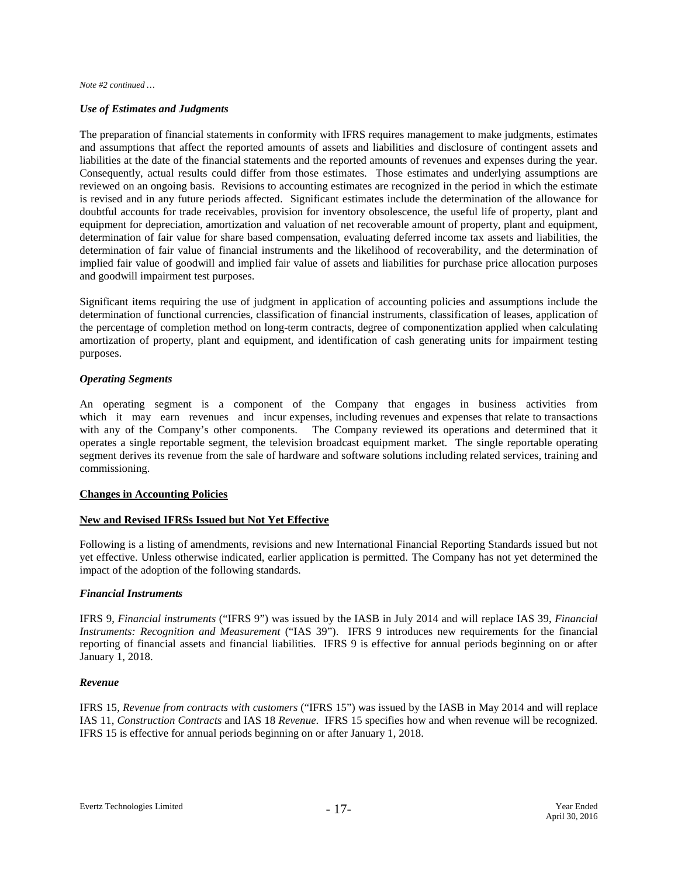#### *Use of Estimates and Judgments*

The preparation of financial statements in conformity with IFRS requires management to make judgments, estimates and assumptions that affect the reported amounts of assets and liabilities and disclosure of contingent assets and liabilities at the date of the financial statements and the reported amounts of revenues and expenses during the year. Consequently, actual results could differ from those estimates. Those estimates and underlying assumptions are reviewed on an ongoing basis. Revisions to accounting estimates are recognized in the period in which the estimate is revised and in any future periods affected. Significant estimates include the determination of the allowance for doubtful accounts for trade receivables, provision for inventory obsolescence, the useful life of property, plant and equipment for depreciation, amortization and valuation of net recoverable amount of property, plant and equipment, determination of fair value for share based compensation, evaluating deferred income tax assets and liabilities, the determination of fair value of financial instruments and the likelihood of recoverability, and the determination of implied fair value of goodwill and implied fair value of assets and liabilities for purchase price allocation purposes and goodwill impairment test purposes.

Significant items requiring the use of judgment in application of accounting policies and assumptions include the determination of functional currencies, classification of financial instruments, classification of leases, application of the percentage of completion method on long-term contracts, degree of componentization applied when calculating amortization of property, plant and equipment, and identification of cash generating units for impairment testing purposes.

#### *Operating Segments*

An operating segment is a component of the Company that engages in business activities from which it may earn revenues and incur expenses, including revenues and expenses that relate to transactions with any of the Company's other components. The Company reviewed its operations and determined that it operates a single reportable segment, the television broadcast equipment market. The single reportable operating segment derives its revenue from the sale of hardware and software solutions including related services, training and commissioning.

#### **Changes in Accounting Policies**

#### **New and Revised IFRSs Issued but Not Yet Effective**

Following is a listing of amendments, revisions and new International Financial Reporting Standards issued but not yet effective. Unless otherwise indicated, earlier application is permitted. The Company has not yet determined the impact of the adoption of the following standards.

#### *Financial Instruments*

IFRS 9, *Financial instruments* ("IFRS 9") was issued by the IASB in July 2014 and will replace IAS 39, *Financial Instruments: Recognition and Measurement* ("IAS 39"). IFRS 9 introduces new requirements for the financial reporting of financial assets and financial liabilities. IFRS 9 is effective for annual periods beginning on or after January 1, 2018.

#### *Revenue*

IFRS 15, *Revenue from contracts with customers* ("IFRS 15") was issued by the IASB in May 2014 and will replace IAS 11, *Construction Contracts* and IAS 18 *Revenue*. IFRS 15 specifies how and when revenue will be recognized. IFRS 15 is effective for annual periods beginning on or after January 1, 2018.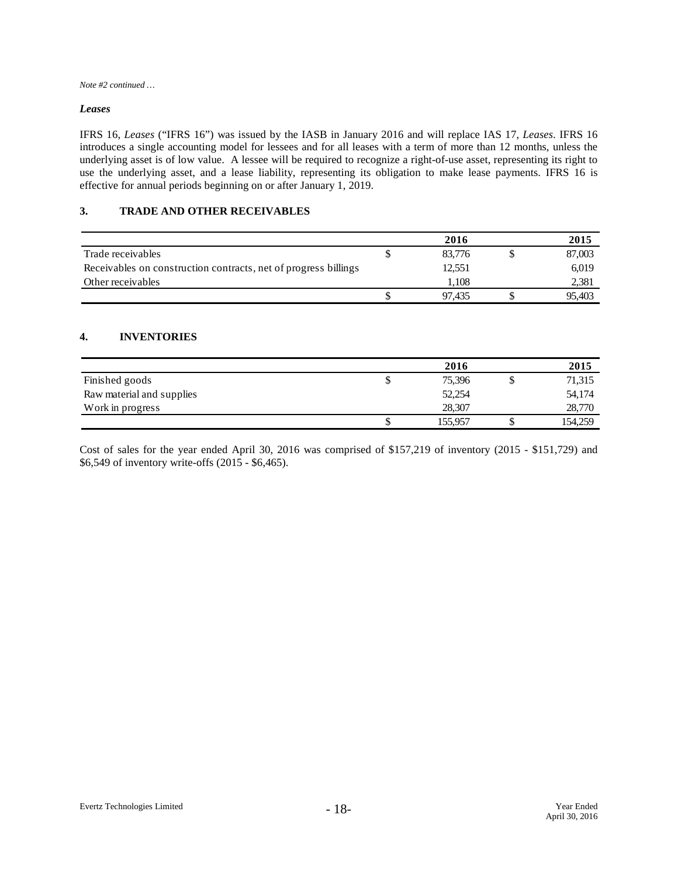#### *Leases*

IFRS 16, *Leases* ("IFRS 16") was issued by the IASB in January 2016 and will replace IAS 17, *Leases*. IFRS 16 introduces a single accounting model for lessees and for all leases with a term of more than 12 months, unless the underlying asset is of low value. A lessee will be required to recognize a right-of-use asset, representing its right to use the underlying asset, and a lease liability, representing its obligation to make lease payments. IFRS 16 is effective for annual periods beginning on or after January 1, 2019.

#### **3. TRADE AND OTHER RECEIVABLES**

|                                                                 |   | 2016   | 2015   |
|-----------------------------------------------------------------|---|--------|--------|
| Trade receivables                                               | S | 83.776 | 87,003 |
| Receivables on construction contracts, net of progress billings |   | 12,551 | 6,019  |
| Other receivables                                               |   | 1.108  | 2,381  |
|                                                                 |   | 97.435 | 95.403 |

#### **4. INVENTORIES**

|                           |   | 2016    | 2015    |
|---------------------------|---|---------|---------|
| Finished goods            | J | 75,396  | 71,315  |
| Raw material and supplies |   | 52,254  | 54,174  |
| Work in progress          |   | 28,307  | 28,770  |
|                           | S | 155,957 | 154,259 |

Cost of sales for the year ended April 30, 2016 was comprised of \$157,219 of inventory (2015 - \$151,729) and \$6,549 of inventory write-offs (2015 - \$6,465).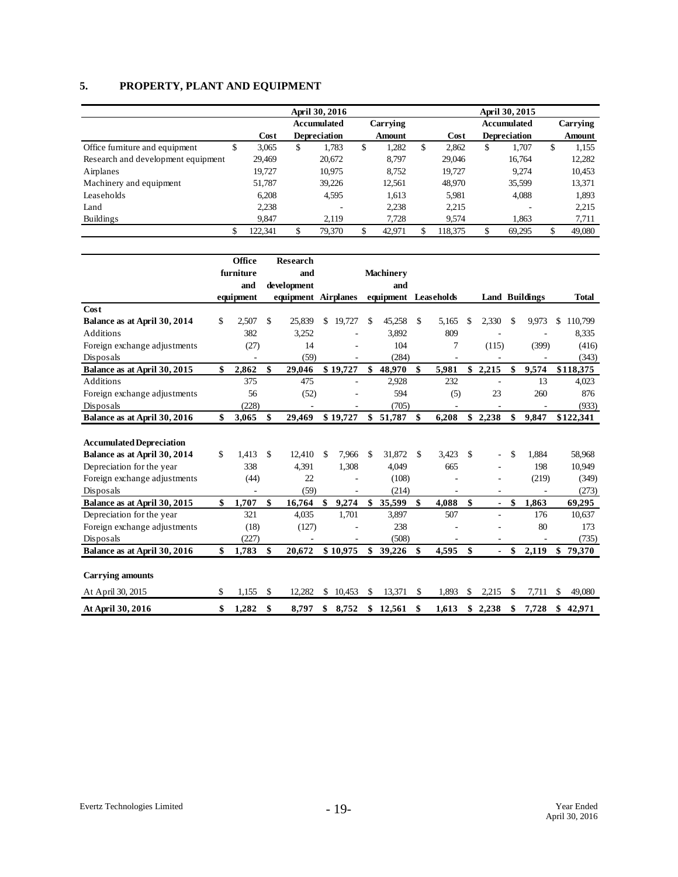## **5. PROPERTY, PLANT AND EQUIPMENT**

|                                    |               |                         | April 30, 2016      |               |        |     |                    |                     |              |
|------------------------------------|---------------|-------------------------|---------------------|---------------|--------|-----|--------------------|---------------------|--------------|
|                                    |               | Carrying<br>Accumulated |                     |               |        |     | <b>Accumulated</b> | Carrying            |              |
|                                    | Cost          |                         | <b>Depreciation</b> | <b>Amount</b> |        |     | Cost               | <b>Depreciation</b> | Amount       |
| Office furniture and equipment     | \$<br>3,065   | \$                      | 1,783               | \$            | 1,282  | \$. | 2.862              | \$<br>1.707         | \$<br>1,155  |
| Research and development equipment | 29,469        |                         | 20,672              |               | 8.797  |     | 29,046             | 16,764              | 12,282       |
| Airplanes                          | 19.727        |                         | 10.975              |               | 8.752  |     | 19.727             | 9.274               | 10,453       |
| Machinery and equipment            | 51,787        |                         | 39,226              |               | 12,561 |     | 48,970             | 35,599              | 13,371       |
| Leaseholds                         | 6,208         |                         | 4,595               |               | 1,613  |     | 5,981              | 4,088               | 1,893        |
| Land                               | 2,238         |                         |                     |               | 2,238  |     | 2,215              |                     | 2,215        |
| <b>Buildings</b>                   | 9.847         |                         | 2.119               |               | 7.728  |     | 9.574              | 1.863               | 7,711        |
|                                    | \$<br>122,341 |                         | 79,370              | \$            | 42,971 |     | 118.375            | \$<br>69,295        | \$<br>49,080 |

|                                 | Office      |     | Research                 |     |          |               |                  |    |                          |     |                          |                       |                          |              |           |
|---------------------------------|-------------|-----|--------------------------|-----|----------|---------------|------------------|----|--------------------------|-----|--------------------------|-----------------------|--------------------------|--------------|-----------|
|                                 | furniture   |     | and                      |     |          |               | <b>Machinery</b> |    |                          |     |                          |                       |                          |              |           |
|                                 | and         |     | development              |     |          |               | and              |    |                          |     |                          |                       |                          |              |           |
|                                 | equipment   |     | equipment Airplanes      |     |          | equipment     |                  |    | Leaseholds               |     |                          | <b>Land Buildings</b> |                          | <b>Total</b> |           |
| Cost                            |             |     |                          |     |          |               |                  |    |                          |     |                          |                       |                          |              |           |
| Balance as at April 30, 2014    | \$<br>2,507 | \$  | 25,839                   | \$. | 19,727   | \$            | 45,258           | \$ | 5,165                    | -S  | 2,330                    | S                     | 9,973                    | \$           | 110,799   |
| <b>Additions</b>                | 382         |     | 3,252                    |     |          |               | 3,892            |    | 809                      |     |                          |                       |                          |              | 8,335     |
| Foreign exchange adjustments    | (27)        |     | 14                       |     |          |               | 104              |    | 7                        |     | (115)                    |                       | (399)                    |              | (416)     |
| Disposals                       |             |     | (59)                     |     |          |               | (284)            |    |                          |     |                          |                       |                          |              | (343)     |
| Balance as at April 30, 2015    | \$<br>2,862 | \$  | 29,046                   |     | \$19,727 | \$            | 48,970           | \$ | 5,981                    | \$  | 2,215                    | \$                    | 9,574                    |              | \$118,375 |
| <b>Additions</b>                | 375         |     | 475                      |     |          |               | 2,928            |    | 232                      |     | $\overline{a}$           |                       | 13                       |              | 4,023     |
| Foreign exchange adjustments    | 56          |     | (52)                     |     |          |               | 594              |    | (5)                      |     | 23                       |                       | 260                      |              | 876       |
| Disposals                       | (228)       |     |                          |     |          |               | (705)            |    |                          |     |                          |                       |                          |              | (933)     |
| Balance as at April 30, 2016    | \$<br>3,065 | \$  | 29,469                   |     | \$19,727 | $\mathbf{s}$  | 51,787           | \$ | 6,208                    |     | \$2,238                  | \$                    | 9,847                    |              | \$122,341 |
|                                 |             |     |                          |     |          |               |                  |    |                          |     |                          |                       |                          |              |           |
| <b>Accumulated Depreciation</b> |             |     |                          |     |          |               |                  |    |                          |     |                          |                       |                          |              |           |
| Balance as at April 30, 2014    | \$<br>1,413 | \$. | 12,410                   | £.  | 7,966    | <sup>\$</sup> | 31.872           | £. | 3,423                    | \$. |                          | \$                    | 1,884                    |              | 58,968    |
| Depreciation for the year       | 338         |     | 4,391                    |     | 1,308    |               | 4,049            |    | 665                      |     |                          |                       | 198                      |              | 10,949    |
| Foreign exchange adjustments    | (44)        |     | 22                       |     |          |               | (108)            |    |                          |     |                          |                       | (219)                    |              | (349)     |
| Disposals                       | L,          |     | (59)                     |     | ä,       |               | (214)            |    | ÷.                       |     | $\overline{\phantom{a}}$ |                       | $\overline{\phantom{a}}$ |              | (273)     |
| Balance as at April 30, 2015    | \$<br>1,707 | \$  | 16,764                   | \$  | 9,274    | \$            | 35,599           | \$ | 4.088                    | \$  | $\blacksquare$           | \$                    | 1.863                    |              | 69,295    |
| Depreciation for the year       | 321         |     | 4,035                    |     | 1,701    |               | 3,897            |    | 507                      |     | $\overline{\phantom{a}}$ |                       | 176                      |              | 10,637    |
| Foreign exchange adjustments    | (18)        |     | (127)                    |     |          |               | 238              |    |                          |     |                          |                       | 80                       |              | 173       |
| Disposals                       | (227)       |     | $\overline{\phantom{a}}$ |     | ٠        |               | (508)            |    | $\overline{\phantom{a}}$ |     | $\overline{\phantom{a}}$ |                       | $\overline{\phantom{a}}$ |              | (735)     |
| Balance as at April 30, 2016    | \$<br>1,783 | \$  | 20,672                   |     | \$10,975 | \$            | 39,226           | \$ | 4,595                    | \$  | $\blacksquare$           | \$                    | 2,119                    | \$           | 79,370    |
|                                 |             |     |                          |     |          |               |                  |    |                          |     |                          |                       |                          |              |           |
| <b>Carrying amounts</b>         |             |     |                          |     |          |               |                  |    |                          |     |                          |                       |                          |              |           |
| At April 30, 2015               | \$<br>1,155 | \$  | 12,282                   | \$  | 10,453   | \$            | 13,371           | \$ | 1,893                    | \$  | 2,215                    | \$                    | 7,711                    | \$           | 49,080    |
| At April 30, 2016               | \$<br>1,282 | \$  | 8,797                    | \$  | 8,752    | \$            | 12,561           | \$ | 1,613                    |     | \$2,238                  | \$                    | 7,728                    | \$           | 42,971    |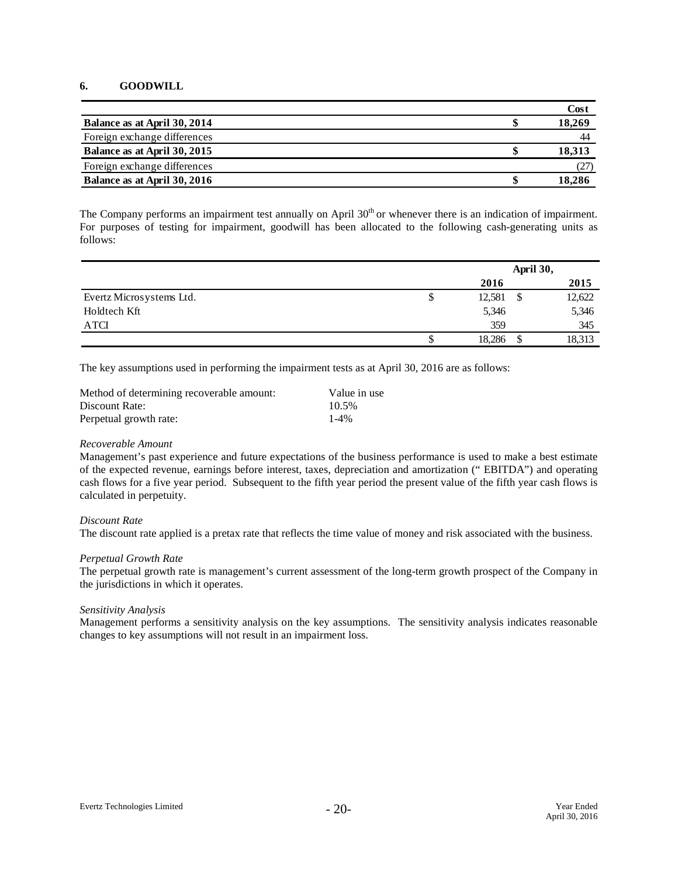#### **6. GOODWILL**

|                              | Cost   |
|------------------------------|--------|
| Balance as at April 30, 2014 | 18,269 |
| Foreign exchange differences | 44     |
| Balance as at April 30, 2015 | 18.313 |
| Foreign exchange differences | (27    |
| Balance as at April 30, 2016 | 18,286 |

The Company performs an impairment test annually on April 30<sup>th</sup> or whenever there is an indication of impairment. For purposes of testing for impairment, goodwill has been allocated to the following cash-generating units as follows:

|                          | April 30,    |  |        |
|--------------------------|--------------|--|--------|
|                          | 2016         |  | 2015   |
| Evertz Microsystems Ltd. | \$<br>12,581 |  | 12,622 |
| Holdtech Kft             | 5,346        |  | 5,346  |
| ATCI                     | 359          |  | 345    |
|                          | \$<br>18,286 |  | 18,313 |

The key assumptions used in performing the impairment tests as at April 30, 2016 are as follows:

| Method of determining recoverable amount: | Value in use |
|-------------------------------------------|--------------|
| Discount Rate:                            | 10.5%        |
| Perpetual growth rate:                    | $1-4\%$      |

#### *Recoverable Amount*

Management's past experience and future expectations of the business performance is used to make a best estimate of the expected revenue, earnings before interest, taxes, depreciation and amortization (" EBITDA") and operating cash flows for a five year period. Subsequent to the fifth year period the present value of the fifth year cash flows is calculated in perpetuity.

#### *Discount Rate*

The discount rate applied is a pretax rate that reflects the time value of money and risk associated with the business.

#### *Perpetual Growth Rate*

The perpetual growth rate is management's current assessment of the long-term growth prospect of the Company in the jurisdictions in which it operates.

#### *Sensitivity Analysis*

Management performs a sensitivity analysis on the key assumptions. The sensitivity analysis indicates reasonable changes to key assumptions will not result in an impairment loss.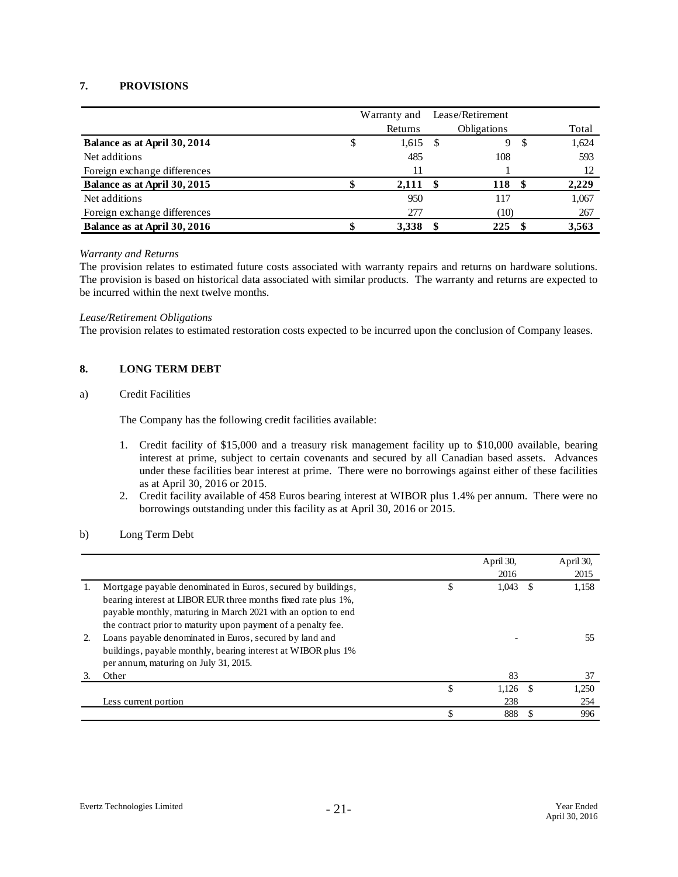#### **7. PROVISIONS**

|                              | Lease/Retirement<br>Warranty and |         |                    |   |       |
|------------------------------|----------------------------------|---------|--------------------|---|-------|
|                              |                                  | Returns | <b>Obligations</b> |   | Total |
| Balance as at April 30, 2014 |                                  | 1,615   | 9                  |   | 1,624 |
| Net additions                |                                  | 485     | 108                |   | 593   |
| Foreign exchange differences |                                  | 11      |                    |   | 12    |
| Balance as at April 30, 2015 |                                  | 2,111   | 118                | S | 2,229 |
| Net additions                |                                  | 950     | 117                |   | 1,067 |
| Foreign exchange differences |                                  | 277     | (10)               |   | 267   |
| Balance as at April 30, 2016 |                                  | 3,338   | 225                |   | 3,563 |

#### *Warranty and Returns*

The provision relates to estimated future costs associated with warranty repairs and returns on hardware solutions. The provision is based on historical data associated with similar products. The warranty and returns are expected to be incurred within the next twelve months.

#### *Lease/Retirement Obligations*

The provision relates to estimated restoration costs expected to be incurred upon the conclusion of Company leases.

#### **8. LONG TERM DEBT**

#### a) Credit Facilities

The Company has the following credit facilities available:

- 1. Credit facility of \$15,000 and a treasury risk management facility up to \$10,000 available, bearing interest at prime, subject to certain covenants and secured by all Canadian based assets. Advances under these facilities bear interest at prime. There were no borrowings against either of these facilities as at April 30, 2016 or 2015.
- 2. Credit facility available of 458 Euros bearing interest at WIBOR plus 1.4% per annum. There were no borrowings outstanding under this facility as at April 30, 2016 or 2015.

#### b) Long Term Debt

|    |                                                                |    | April 30,<br>2016 |          | April 30,<br>2015 |
|----|----------------------------------------------------------------|----|-------------------|----------|-------------------|
|    | Mortgage payable denominated in Euros, secured by buildings,   | ъ  | 1,043             | <b>S</b> | 1,158             |
|    | bearing interest at LIBOR EUR three months fixed rate plus 1%, |    |                   |          |                   |
|    | payable monthly, maturing in March 2021 with an option to end  |    |                   |          |                   |
|    | the contract prior to maturity upon payment of a penalty fee.  |    |                   |          |                   |
| 2. | Loans payable denominated in Euros, secured by land and        |    |                   |          | 55                |
|    | buildings, payable monthly, bearing interest at WIBOR plus 1%  |    |                   |          |                   |
|    | per annum, maturing on July 31, 2015.                          |    |                   |          |                   |
| 3. | Other                                                          |    | 83                |          | 37                |
|    |                                                                | \$ | 1.126             | - \$     | 1.250             |
|    | Less current portion                                           |    | 238               |          | 254               |
|    |                                                                |    | 888               |          | 996               |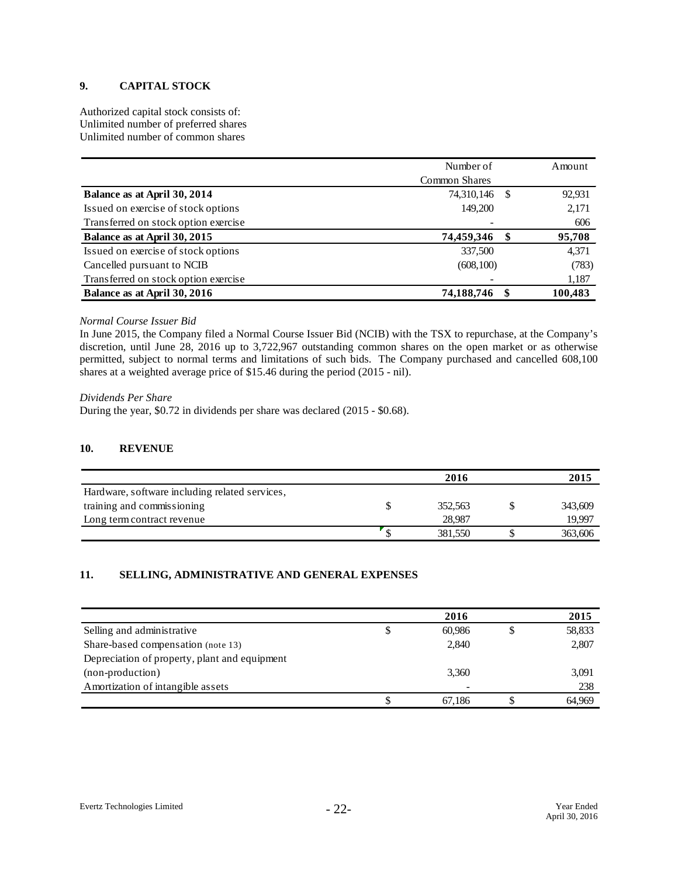#### **9. CAPITAL STOCK**

Authorized capital stock consists of: Unlimited number of preferred shares Unlimited number of common shares

|                                      | Number of     |      | Amount  |
|--------------------------------------|---------------|------|---------|
|                                      | Common Shares |      |         |
| Balance as at April 30, 2014         | 74,310,146    | - \$ | 92,931  |
| Issued on exercise of stock options  | 149,200       |      | 2,171   |
| Transferred on stock option exercise |               |      | 606     |
| Balance as at April 30, 2015         | 74,459,346    | S    | 95,708  |
| Issued on exercise of stock options  | 337,500       |      | 4,371   |
| Cancelled pursuant to NCIB           | (608, 100)    |      | (783)   |
| Transferred on stock option exercise |               |      | 1,187   |
| Balance as at April 30, 2016         | 74,188,746    |      | 100,483 |

#### *Normal Course Issuer Bid*

In June 2015, the Company filed a Normal Course Issuer Bid (NCIB) with the TSX to repurchase, at the Company's discretion, until June 28, 2016 up to 3,722,967 outstanding common shares on the open market or as otherwise permitted, subject to normal terms and limitations of such bids. The Company purchased and cancelled 608,100 shares at a weighted average price of \$15.46 during the period (2015 - nil).

#### *Dividends Per Share*

During the year, \$0.72 in dividends per share was declared (2015 - \$0.68).

#### **10. REVENUE**

|                                                | 2016    | 2015    |
|------------------------------------------------|---------|---------|
| Hardware, software including related services, |         |         |
| training and commissioning                     | 352.563 | 343,609 |
| Long term contract revenue                     | 28.987  | 19,997  |
|                                                | 381,550 | 363,606 |

#### **11. SELLING, ADMINISTRATIVE AND GENERAL EXPENSES**

|                                               |   | 2016   | 2015   |
|-----------------------------------------------|---|--------|--------|
| Selling and administrative                    | Φ | 60.986 | 58,833 |
| Share-based compensation (note 13)            |   | 2,840  | 2,807  |
| Depreciation of property, plant and equipment |   |        |        |
| (non-production)                              |   | 3,360  | 3,091  |
| Amortization of intangible assets             |   | ۰      | 238    |
|                                               |   | 67.186 | 64.969 |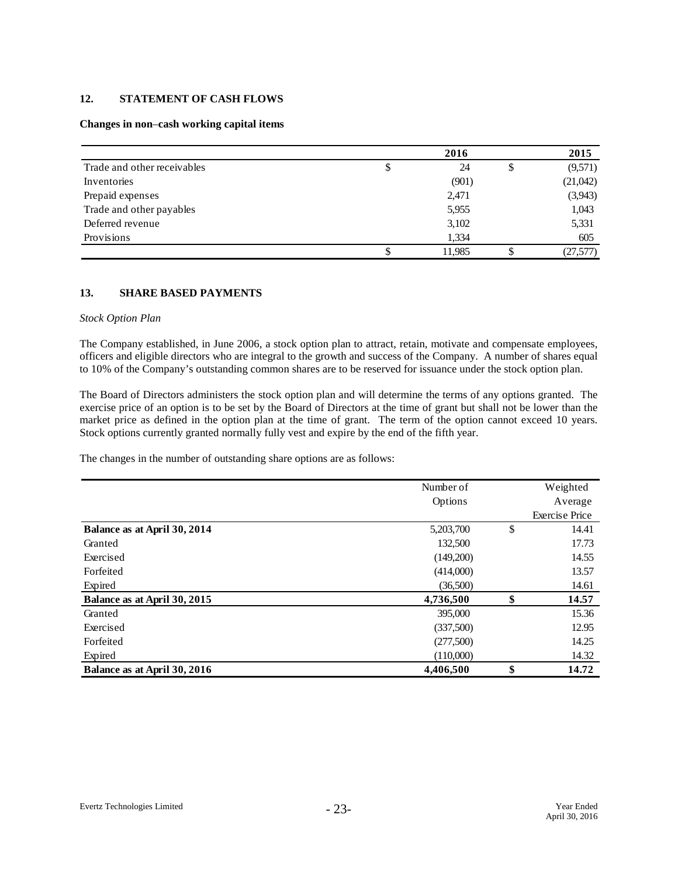#### **12. STATEMENT OF CASH FLOWS**

#### **Changes in non**–**cash working capital items**

|                             | 2016     | 2015          |
|-----------------------------|----------|---------------|
| Trade and other receivables | \$<br>24 | \$<br>(9,571) |
| Inventories                 | (901)    | (21,042)      |
| Prepaid expenses            | 2,471    | (3,943)       |
| Trade and other payables    | 5,955    | 1,043         |
| Deferred revenue            | 3,102    | 5,331         |
| Provisions                  | 1,334    | 605           |
|                             | 11,985   | (27,577)      |

#### **13. SHARE BASED PAYMENTS**

#### *Stock Option Plan*

The Company established, in June 2006, a stock option plan to attract, retain, motivate and compensate employees, officers and eligible directors who are integral to the growth and success of the Company. A number of shares equal to 10% of the Company's outstanding common shares are to be reserved for issuance under the stock option plan.

The Board of Directors administers the stock option plan and will determine the terms of any options granted. The exercise price of an option is to be set by the Board of Directors at the time of grant but shall not be lower than the market price as defined in the option plan at the time of grant. The term of the option cannot exceed 10 years. Stock options currently granted normally fully vest and expire by the end of the fifth year.

The changes in the number of outstanding share options are as follows:

|                              | Number of | Weighted              |
|------------------------------|-----------|-----------------------|
|                              | Options   | Average               |
|                              |           | <b>Exercise Price</b> |
| Balance as at April 30, 2014 | 5,203,700 | \$<br>14.41           |
| Granted                      | 132,500   | 17.73                 |
| Exercised                    | (149,200) | 14.55                 |
| Forfeited                    | (414,000) | 13.57                 |
| Expired                      | (36,500)  | 14.61                 |
| Balance as at April 30, 2015 | 4,736,500 | \$<br>14.57           |
| Granted                      | 395,000   | 15.36                 |
| Exercised                    | (337,500) | 12.95                 |
| Forfeited                    | (277,500) | 14.25                 |
| Expired                      | (110,000) | 14.32                 |
| Balance as at April 30, 2016 | 4,406,500 | \$<br>14.72           |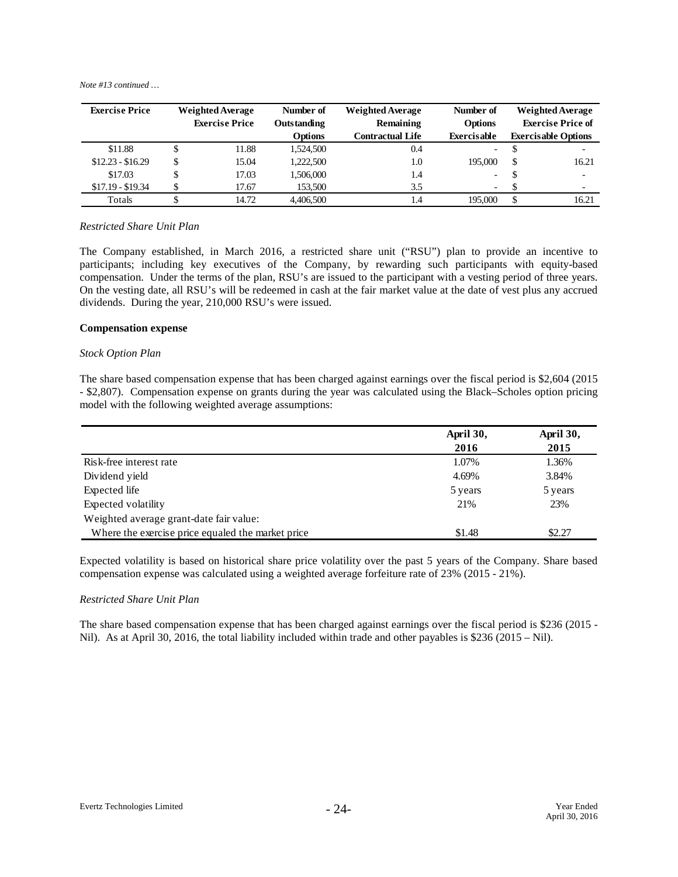| <b>Exercise Price</b> |    | <b>Weighted Average</b> | Number of      | <b>Weighted Average</b> | Number of                |    | <b>Weighted Average</b>    |
|-----------------------|----|-------------------------|----------------|-------------------------|--------------------------|----|----------------------------|
|                       |    | <b>Exercise Price</b>   | Outstanding    | Remaining               | <b>Options</b>           |    | <b>Exercise Price of</b>   |
|                       |    |                         | <b>Options</b> | <b>Contractual Life</b> | Exercisable              |    | <b>Exercisable Options</b> |
| \$11.88               |    | 11.88                   | 1,524,500      | 0.4                     | $\overline{\phantom{0}}$ |    | $\overline{\phantom{a}}$   |
| $$12.23 - $16.29$     | \$ | 15.04                   | 1.222.500      | 1.0                     | 195,000                  | \$ | 16.21                      |
| \$17.03               |    | 17.03                   | 1,506,000      | 1.4                     | $\overline{\phantom{0}}$ | D  | $\overline{\phantom{0}}$   |
| $$17.19 - $19.34$     | Φ  | 17.67                   | 153,500        | 3.5                     | $\overline{\phantom{0}}$ |    | $\overline{\phantom{0}}$   |
| Totals                |    | 14.72                   | 4.406.500      | 1.4                     | 195,000                  | \$ | 16.21                      |

#### *Restricted Share Unit Plan*

The Company established, in March 2016, a restricted share unit ("RSU") plan to provide an incentive to participants; including key executives of the Company, by rewarding such participants with equity-based compensation. Under the terms of the plan, RSU's are issued to the participant with a vesting period of three years. On the vesting date, all RSU's will be redeemed in cash at the fair market value at the date of vest plus any accrued dividends. During the year, 210,000 RSU's were issued.

#### **Compensation expense**

#### *Stock Option Plan*

The share based compensation expense that has been charged against earnings over the fiscal period is \$2,604 (2015 - \$2,807). Compensation expense on grants during the year was calculated using the Black–Scholes option pricing model with the following weighted average assumptions:

|                                                   | April 30, | April 30, |
|---------------------------------------------------|-----------|-----------|
|                                                   | 2016      | 2015      |
| Risk-free interest rate                           | 1.07%     | 1.36%     |
| Dividend yield                                    | 4.69%     | 3.84%     |
| Expected life                                     | 5 years   | 5 years   |
| Expected volatility                               | 21%       | 23%       |
| Weighted average grant-date fair value:           |           |           |
| Where the exercise price equaled the market price | \$1.48    | \$2.27    |

Expected volatility is based on historical share price volatility over the past 5 years of the Company. Share based compensation expense was calculated using a weighted average forfeiture rate of 23% (2015 - 21%).

#### *Restricted Share Unit Plan*

The share based compensation expense that has been charged against earnings over the fiscal period is \$236 (2015 - Nil). As at April 30, 2016, the total liability included within trade and other payables is \$236 (2015 – Nil).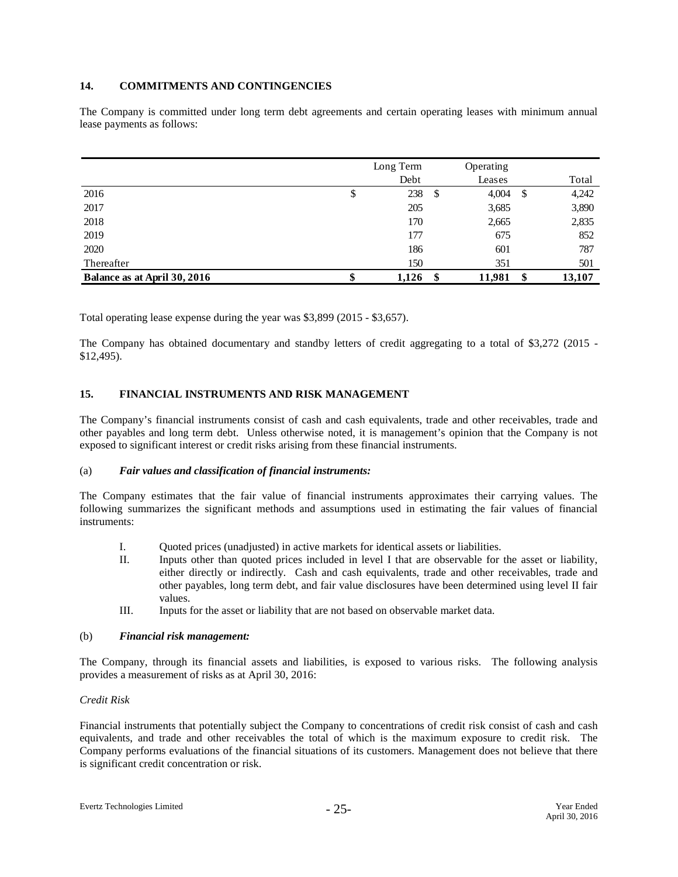#### **14. COMMITMENTS AND CONTINGENCIES**

The Company is committed under long term debt agreements and certain operating leases with minimum annual lease payments as follows:

|                              |   | Long Term | Operating    |     |        |
|------------------------------|---|-----------|--------------|-----|--------|
|                              |   | Debt      | Leases       |     | Total  |
| 2016                         |   | 238       | \$<br>4,004  | -\$ | 4,242  |
| 2017                         |   | 205       | 3,685        |     | 3,890  |
| 2018                         |   | 170       | 2,665        |     | 2,835  |
| 2019                         |   | 177       | 675          |     | 852    |
| 2020                         |   | 186       | 601          |     | 787    |
| Thereafter                   |   | 150       | 351          |     | 501    |
| Balance as at April 30, 2016 | Φ | 1,126     | \$<br>11,981 | \$  | 13,107 |

Total operating lease expense during the year was \$3,899 (2015 - \$3,657).

The Company has obtained documentary and standby letters of credit aggregating to a total of \$3,272 (2015 - \$12,495).

#### **15. FINANCIAL INSTRUMENTS AND RISK MANAGEMENT**

The Company's financial instruments consist of cash and cash equivalents, trade and other receivables, trade and other payables and long term debt. Unless otherwise noted, it is management's opinion that the Company is not exposed to significant interest or credit risks arising from these financial instruments.

#### (a) *Fair values and classification of financial instruments:*

The Company estimates that the fair value of financial instruments approximates their carrying values. The following summarizes the significant methods and assumptions used in estimating the fair values of financial instruments:

- I. Quoted prices (unadjusted) in active markets for identical assets or liabilities.
- II. Inputs other than quoted prices included in level I that are observable for the asset or liability, either directly or indirectly. Cash and cash equivalents, trade and other receivables, trade and other payables, long term debt, and fair value disclosures have been determined using level II fair values.
- III. Inputs for the asset or liability that are not based on observable market data.

#### (b) *Financial risk management:*

The Company, through its financial assets and liabilities, is exposed to various risks. The following analysis provides a measurement of risks as at April 30, 2016:

#### *Credit Risk*

Financial instruments that potentially subject the Company to concentrations of credit risk consist of cash and cash equivalents, and trade and other receivables the total of which is the maximum exposure to credit risk. The Company performs evaluations of the financial situations of its customers. Management does not believe that there is significant credit concentration or risk.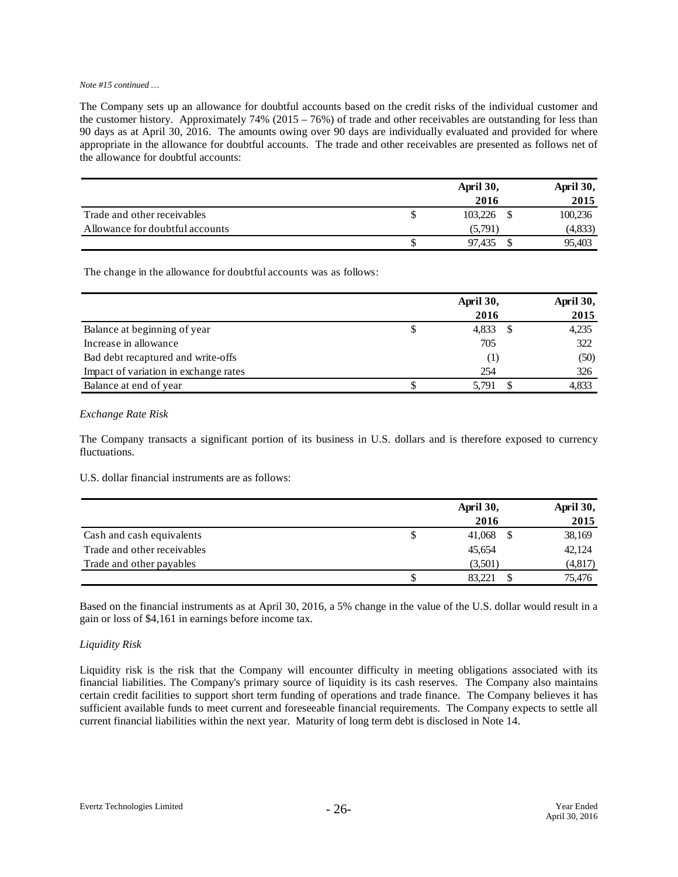The Company sets up an allowance for doubtful accounts based on the credit risks of the individual customer and the customer history. Approximately  $74\%$  (2015 – 76%) of trade and other receivables are outstanding for less than 90 days as at April 30, 2016. The amounts owing over 90 days are individually evaluated and provided for where appropriate in the allowance for doubtful accounts. The trade and other receivables are presented as follows net of the allowance for doubtful accounts:

|                                 | April 30, |         | April 30, |
|---------------------------------|-----------|---------|-----------|
|                                 |           | 2016    | 2015      |
| Trade and other receivables     |           | 103.226 | 100,236   |
| Allowance for doubtful accounts |           | (5.791) | (4,833)   |
|                                 | ۰D        | 97.435  | 95,403    |

The change in the allowance for doubtful accounts was as follows:

|                                       | April 30, |  | April 30, |
|---------------------------------------|-----------|--|-----------|
|                                       | 2016      |  | 2015      |
| Balance at beginning of year          | 4,833     |  | 4,235     |
| Increase in allowance                 | 705       |  | 322       |
| Bad debt recaptured and write-offs    | (1)       |  | (50)      |
| Impact of variation in exchange rates | 254       |  | 326       |
| Balance at end of year                | 5.791     |  | 4,833     |

#### *Exchange Rate Risk*

The Company transacts a significant portion of its business in U.S. dollars and is therefore exposed to currency fluctuations.

U.S. dollar financial instruments are as follows:

|                             | April 30,   | April 30, |
|-----------------------------|-------------|-----------|
|                             | 2016        | 2015      |
| Cash and cash equivalents   | 41,068      | 38,169    |
| Trade and other receivables | 45,654      | 42,124    |
| Trade and other payables    | (3,501)     | (4,817)   |
|                             | 83.221<br>¢ | 75,476    |

Based on the financial instruments as at April 30, 2016, a 5% change in the value of the U.S. dollar would result in a gain or loss of \$4,161 in earnings before income tax.

#### *Liquidity Risk*

Liquidity risk is the risk that the Company will encounter difficulty in meeting obligations associated with its financial liabilities. The Company's primary source of liquidity is its cash reserves. The Company also maintains certain credit facilities to support short term funding of operations and trade finance. The Company believes it has sufficient available funds to meet current and foreseeable financial requirements. The Company expects to settle all current financial liabilities within the next year. Maturity of long term debt is disclosed in Note 14.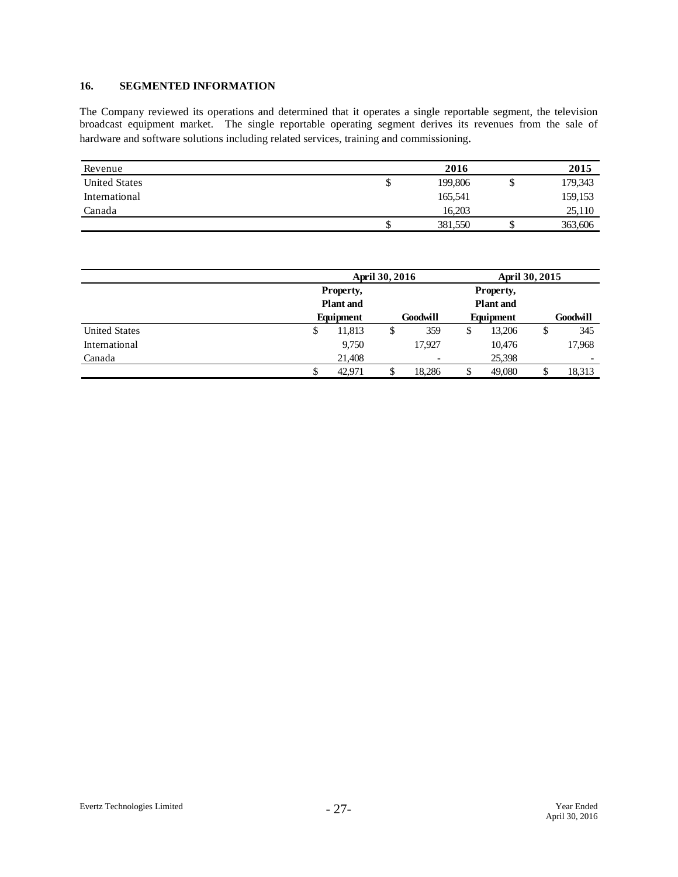#### **16. SEGMENTED INFORMATION**

The Company reviewed its operations and determined that it operates a single reportable segment, the television broadcast equipment market. The single reportable operating segment derives its revenues from the sale of hardware and software solutions including related services, training and commissioning.

| Revenue              |    | 2016    |   | 2015    |
|----------------------|----|---------|---|---------|
| <b>United States</b> | Φ  | 199,806 | 荚 | 179,343 |
| International        |    | 165,541 |   | 159,153 |
| Canada               |    | 16.203  |   | 25,110  |
|                      | J. | 381,550 | ◡ | 363,606 |

|                      |                               | April 30, 2016 |                          |    | April 30, 2015                |    |                          |
|----------------------|-------------------------------|----------------|--------------------------|----|-------------------------------|----|--------------------------|
|                      | Property,                     |                |                          |    | Property,                     |    |                          |
|                      | <b>Plant</b> and<br>Equipment |                | <b>Goodwill</b>          |    | <b>Plant</b> and<br>Equipment |    | Goodwill                 |
| <b>United States</b> | 11,813<br>\$                  | \$             | 359                      | \$ | 13.206                        | \$ | 345                      |
| International        | 9,750                         |                | 17,927                   |    | 10,476                        |    | 17,968                   |
| Canada               | 21.408                        |                | $\overline{\phantom{a}}$ |    | 25,398                        |    | $\overline{\phantom{a}}$ |
|                      | 42.971                        |                | 18,286                   |    | 49,080                        |    | 18,313                   |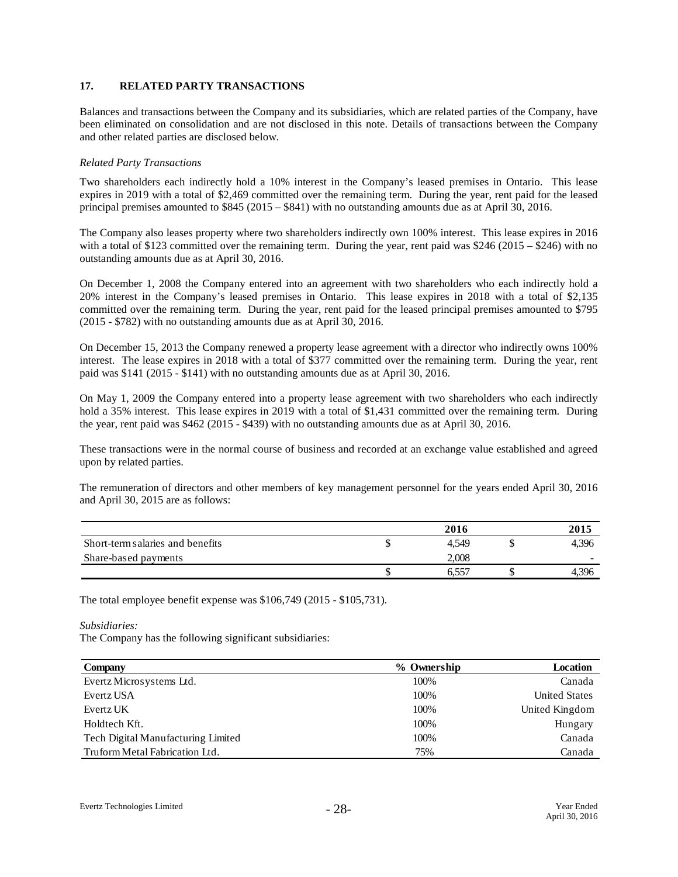#### **17. RELATED PARTY TRANSACTIONS**

Balances and transactions between the Company and its subsidiaries, which are related parties of the Company, have been eliminated on consolidation and are not disclosed in this note. Details of transactions between the Company and other related parties are disclosed below.

#### *Related Party Transactions*

Two shareholders each indirectly hold a 10% interest in the Company's leased premises in Ontario. This lease expires in 2019 with a total of \$2,469 committed over the remaining term. During the year, rent paid for the leased principal premises amounted to \$845 (2015 – \$841) with no outstanding amounts due as at April 30, 2016.

The Company also leases property where two shareholders indirectly own 100% interest. This lease expires in 2016 with a total of \$123 committed over the remaining term. During the year, rent paid was \$246 (2015 – \$246) with no outstanding amounts due as at April 30, 2016.

On December 1, 2008 the Company entered into an agreement with two shareholders who each indirectly hold a 20% interest in the Company's leased premises in Ontario. This lease expires in 2018 with a total of \$2,135 committed over the remaining term. During the year, rent paid for the leased principal premises amounted to \$795 (2015 - \$782) with no outstanding amounts due as at April 30, 2016.

On December 15, 2013 the Company renewed a property lease agreement with a director who indirectly owns 100% interest. The lease expires in 2018 with a total of \$377 committed over the remaining term. During the year, rent paid was \$141 (2015 - \$141) with no outstanding amounts due as at April 30, 2016.

On May 1, 2009 the Company entered into a property lease agreement with two shareholders who each indirectly hold a 35% interest. This lease expires in 2019 with a total of \$1,431 committed over the remaining term. During the year, rent paid was \$462 (2015 - \$439) with no outstanding amounts due as at April 30, 2016.

These transactions were in the normal course of business and recorded at an exchange value established and agreed upon by related parties.

The remuneration of directors and other members of key management personnel for the years ended April 30, 2016 and April 30, 2015 are as follows:

|                                  | 2016                |       |
|----------------------------------|---------------------|-------|
| Short-term salaries and benefits | 4.549               | 4,396 |
| Share-based payments             | 2.008               | -     |
|                                  | $6,55$ <sup>-</sup> | 4.396 |

The total employee benefit expense was \$106,749 (2015 - \$105,731).

*Subsidiaries:*

The Company has the following significant subsidiaries:

| Company                            | % Ownership | Location             |
|------------------------------------|-------------|----------------------|
| Evertz Microsystems Ltd.           | 100\%       | Canada               |
| Evertz USA                         | 100%        | <b>United States</b> |
| Evertz UK                          | 100%        | United Kingdom       |
| Holdtech Kft.                      | 100%        | Hungary              |
| Tech Digital Manufacturing Limited | 100%        | Canada               |
| Truform Metal Fabrication Ltd.     | 75%         | Canada               |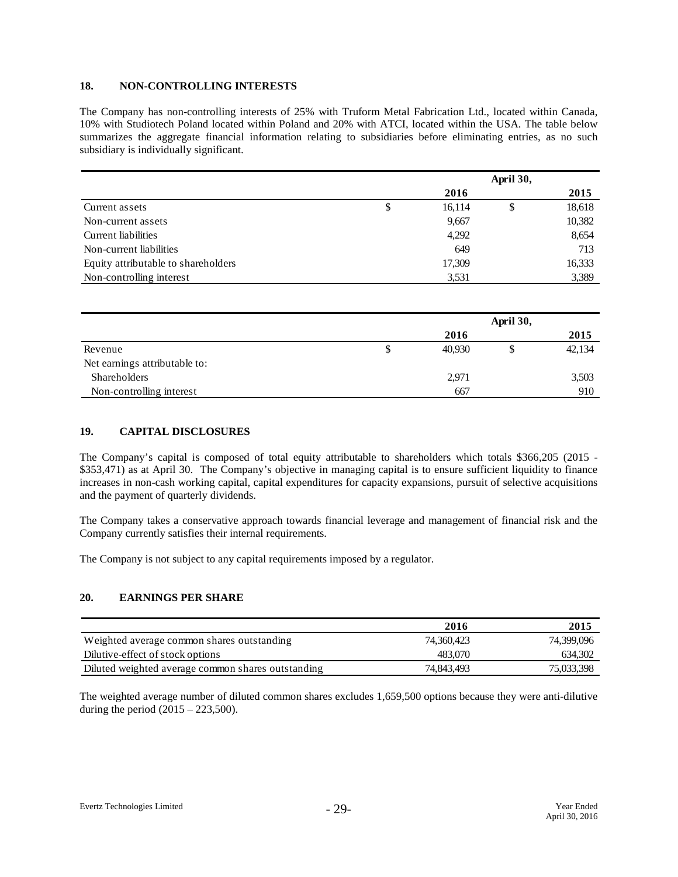#### **18. NON-CONTROLLING INTERESTS**

The Company has non-controlling interests of 25% with Truform Metal Fabrication Ltd., located within Canada, 10% with Studiotech Poland located within Poland and 20% with ATCI, located within the USA. The table below summarizes the aggregate financial information relating to subsidiaries before eliminating entries, as no such subsidiary is individually significant.

|                                     |              | April 30, |        |
|-------------------------------------|--------------|-----------|--------|
|                                     | 2016         |           | 2015   |
| Current assets                      | \$<br>16,114 | \$        | 18,618 |
| Non-current assets                  | 9,667        |           | 10,382 |
| Current liabilities                 | 4,292        |           | 8,654  |
| Non-current liabilities             | 649          |           | 713    |
| Equity attributable to shareholders | 17,309       |           | 16,333 |
| Non-controlling interest            | 3,531        |           | 3,389  |

|                               |   |        | April 30, |        |
|-------------------------------|---|--------|-----------|--------|
|                               |   | 2016   |           | 2015   |
| Revenue                       | S | 40,930 |           | 42,134 |
| Net earnings attributable to: |   |        |           |        |
| <b>Shareholders</b>           |   | 2,971  |           | 3,503  |
| Non-controlling interest      |   | 667    |           | 910    |

#### **19. CAPITAL DISCLOSURES**

The Company's capital is composed of total equity attributable to shareholders which totals \$366,205 (2015 - \$353,471) as at April 30. The Company's objective in managing capital is to ensure sufficient liquidity to finance increases in non-cash working capital, capital expenditures for capacity expansions, pursuit of selective acquisitions and the payment of quarterly dividends.

The Company takes a conservative approach towards financial leverage and management of financial risk and the Company currently satisfies their internal requirements.

The Company is not subject to any capital requirements imposed by a regulator.

#### **20. EARNINGS PER SHARE**

|                                                    | 2016       | 2015       |
|----------------------------------------------------|------------|------------|
| Weighted average common shares outstanding         | 74.360.423 | 74,399,096 |
| Dilutive-effect of stock options                   | 483.070    | 634,302    |
| Diluted weighted average common shares outstanding | 74.843.493 | 75,033,398 |

The weighted average number of diluted common shares excludes 1,659,500 options because they were anti-dilutive during the period  $(2015 - 223,500)$ .